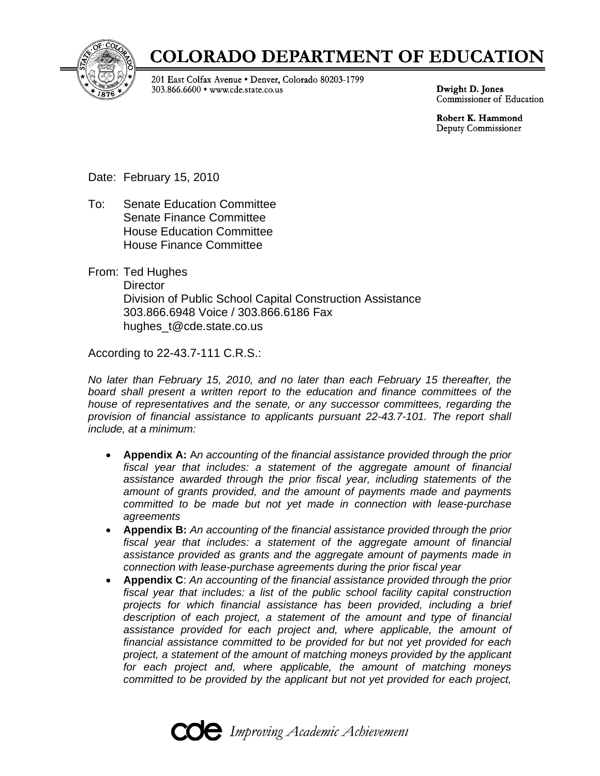

# **COLORADO DEPARTMENT OF EDUCATION**

201 East Colfax Avenue . Denver, Colorado 80203-1799 303.866.6600 • www.cde.state.co.us

Dwight D. Jones Commissioner of Education

Robert K. Hammond Deputy Commissioner

Date: February 15, 2010

- To: Senate Education Committee Senate Finance Committee House Education Committee House Finance Committee
- From: Ted Hughes **Director**  Division of Public School Capital Construction Assistance 303.866.6948 Voice / 303.866.6186 Fax hughes t@cde.state.co.us

According to 22-43.7-111 C.R.S.:

*No later than February 15, 2010, and no later than each February 15 thereafter, the board shall present a written report to the education and finance committees of the house of representatives and the senate, or any successor committees, regarding the provision of financial assistance to applicants pursuant 22-43.7-101. The report shall include, at a minimum:* 

- **Appendix A:** A*n accounting of the financial assistance provided through the prior fiscal year that includes: a statement of the aggregate amount of financial assistance awarded through the prior fiscal year, including statements of the amount of grants provided, and the amount of payments made and payments committed to be made but not yet made in connection with lease-purchase agreements*
- **Appendix B:** *An accounting of the financial assistance provided through the prior fiscal year that includes: a statement of the aggregate amount of financial assistance provided as grants and the aggregate amount of payments made in connection with lease-purchase agreements during the prior fiscal year*
- **Appendix C**: *An accounting of the financial assistance provided through the prior fiscal year that includes: a list of the public school facility capital construction projects for which financial assistance has been provided, including a brief description of each project, a statement of the amount and type of financial assistance provided for each project and, where applicable, the amount of financial assistance committed to be provided for but not yet provided for each project, a statement of the amount of matching moneys provided by the applicant for each project and, where applicable, the amount of matching moneys committed to be provided by the applicant but not yet provided for each project,*

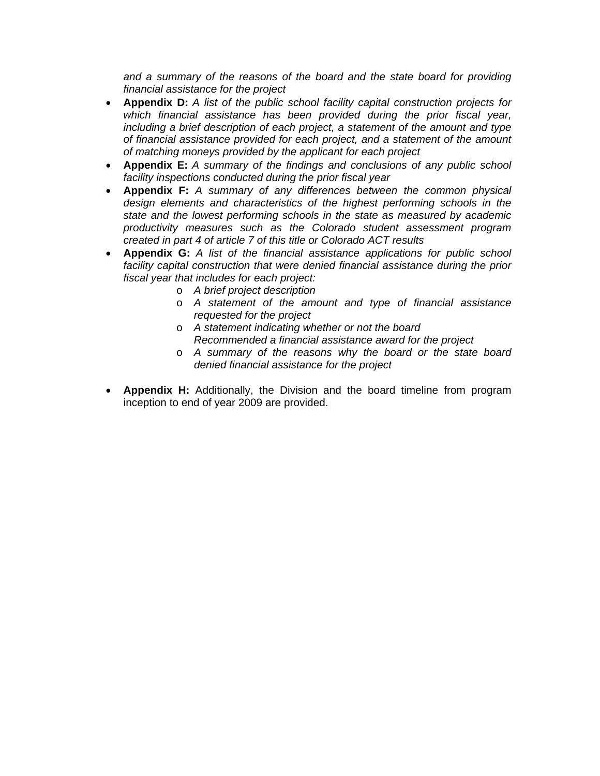*and a summary of the reasons of the board and the state board for providing financial assistance for the project*

- **Appendix D:** *A list of the public school facility capital construction projects for which financial assistance has been provided during the prior fiscal year, including a brief description of each project, a statement of the amount and type of financial assistance provided for each project, and a statement of the amount of matching moneys provided by the applicant for each project*
- **Appendix E:** *A summary of the findings and conclusions of any public school facility inspections conducted during the prior fiscal year*
- **Appendix F:** *A summary of any differences between the common physical design elements and characteristics of the highest performing schools in the state and the lowest performing schools in the state as measured by academic productivity measures such as the Colorado student assessment program created in part 4 of article 7 of this title or Colorado ACT results*
- **Appendix G:** *A list of the financial assistance applications for public school*  facility capital construction that were denied financial assistance during the prior *fiscal year that includes for each project:* 
	- o *A brief project description*
	- o *A statement of the amount and type of financial assistance requested for the project*
	- o *A statement indicating whether or not the board Recommended a financial assistance award for the project*
	- o *A summary of the reasons why the board or the state board denied financial assistance for the project*
- **Appendix H:** Additionally, the Division and the board timeline from program inception to end of year 2009 are provided.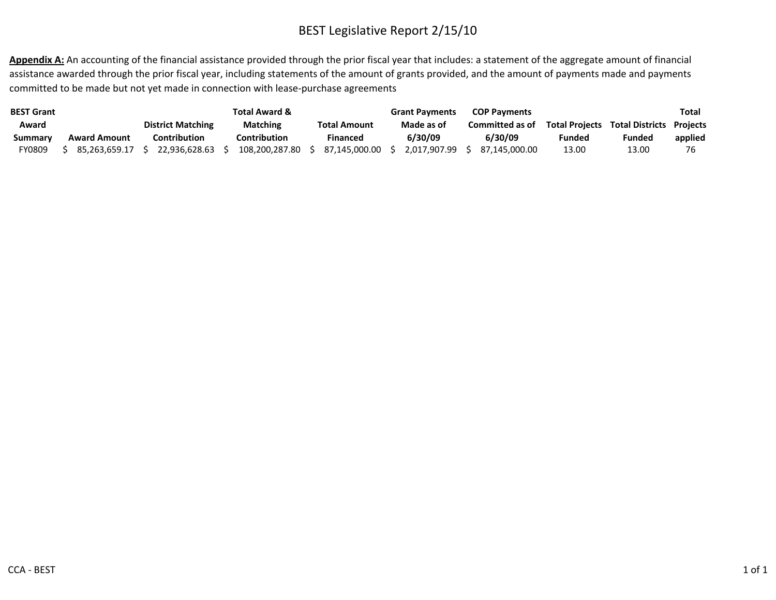Appendix A: An accounting of the financial assistance provided through the prior fiscal year that includes: a statement of the aggregate amount of financial assistance awarded through the prior fiscal year, including statements of the amount of grants provided, and the amount of payments made and payments committed to be made but not yet made in connection with lease‐purchase agreements

| <b>BEST Grant</b> |                     |                          | Total Award &   |                     | <b>Grant Payments</b> | <b>COP Payments</b> |                       |                        | Total           |
|-------------------|---------------------|--------------------------|-----------------|---------------------|-----------------------|---------------------|-----------------------|------------------------|-----------------|
| Award             |                     | <b>District Matching</b> | <b>Matching</b> | <b>Total Amount</b> | Made as of            | Committed as of     | <b>Total Projects</b> | <b>Total Districts</b> | <b>Projects</b> |
| Summary           | <b>Award Amount</b> | Contribution             | Contribution    | Financed            | 6/30/09               | 6/30/09             | <b>Funded</b>         | Funded                 | applied         |
| FY0809            | 85.263.659.17       | 22.936.628.63            | 108.200.287.80  | 87.145.000.00       | 2.017.907.99          | 87.145.000.00       | 13.00                 | 13.00                  |                 |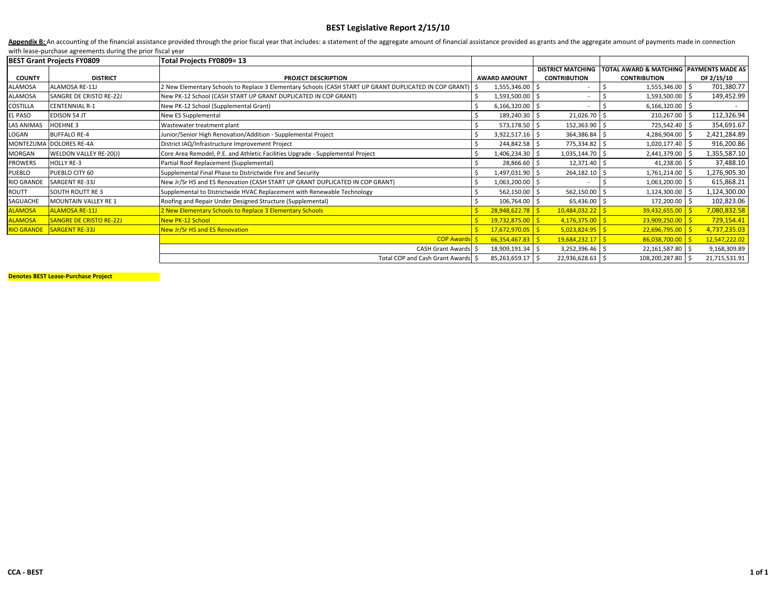Appendix B: An accounting of the financial assistance provided through the prior fiscal year that includes: a statement of the aggregate amount of financial assistance provided as grants and the aggregate amount of payment with lease‐purchase agreements during the prior fiscal year

|                   | <b>BEST Grant Projects FY0809</b> | Total Projects FY0809= 13                                                                                   |    |                     |                          |                                                    |               |
|-------------------|-----------------------------------|-------------------------------------------------------------------------------------------------------------|----|---------------------|--------------------------|----------------------------------------------------|---------------|
|                   |                                   |                                                                                                             |    |                     | <b>DISTRICT MATCHING</b> | <b>TOTAL AWARD &amp; MATCHING PAYMENTS MADE AS</b> |               |
| <b>COUNTY</b>     | <b>DISTRICT</b>                   | <b>PROJECT DESCRIPTION</b>                                                                                  |    | <b>AWARD AMOUNT</b> | <b>CONTRIBUTION</b>      | <b>CONTRIBUTION</b>                                | OF 2/15/10    |
| ALAMOSA           | ALAMOSA RE-11J                    | 2 New Elementary Schools to Replace 3 Elementary Schools (CASH START UP GRANT DUPLICATED IN COP GRANT)   \$ |    | 1,555,346.00 \$     |                          | $1,555,346.00$ \$                                  | 701,380.77    |
| ALAMOSA           | SANGRE DE CRISTO RE-22J           | New PK-12 School (CASH START UP GRANT DUPLICATED IN COP GRANT)                                              |    | 1,593,500.00 \$     |                          | 1,593,500.00 \$                                    | 149,452.99    |
| COSTILLA          | <b>CENTENNIAL R-1</b>             | New PK-12 School (Supplemental Grant)                                                                       |    | $6,166,320.00$ \$   |                          | $6,166,320.00$ \$                                  |               |
| EL PASO           | <b>EDISON 54 JT</b>               | New ES Supplemental                                                                                         |    | 189,240.30 \$       | 21,026.70                | 210,267.00 \$                                      | 112,326.94    |
| LAS ANIMAS        | <b>HOEHNE 3</b>                   | Wastewater treatment plant                                                                                  |    | 573,178.50 \$       | 152,363.90               | 725,542.40 \$                                      | 354,691.67    |
| LOGAN             | <b>BUFFALO RE-4</b>               | Iunior/Senior High Renovation/Addition - Supplemental Project                                               |    | $3,922,517.16$ \$   | 364,386.84               | 4,286,904.00 \$                                    | 2,421,284.89  |
|                   | MONTEZUMA DOLORES RE-4A           | District IAQ/Infrastructure Improvement Project                                                             |    | 244,842.58 \$       | 775,334.82               | 1,020,177.40 \$                                    | 916,200.86    |
| MORGAN            | WELDON VALLEY RE-20(J)            | Core Area Remodel, P.E. and Athletic Facilities Upgrade - Supplemental Project                              |    | 1,406,234.30 \$     | 1,035,144.70             | 2,441,379.00 \$                                    | 1,355,587.10  |
| PROWERS           | <b>HOLLY RE-3</b>                 | Partial Roof Replacement (Supplemental)                                                                     |    | 28,866.60 \$        | 12,371.40                | 41,238.00                                          | 37,488.10     |
| PUEBLO            | PUEBLO CITY 60                    | Supplemental Final Phase to Districtwide Fire and Security                                                  |    | 1,497,031.90 \$     | 264,182.10               | 1,761,214.00 \$                                    | 1,276,905.30  |
| <b>RIO GRANDE</b> | <b>SARGENT RE-33J</b>             | New Jr/Sr HS and ES Renovation (CASH START UP GRANT DUPLICATED IN COP GRANT)                                |    | 1,063,200.00 \$     |                          | 1,063,200.00 \$                                    | 615,868.21    |
| ROUTT             | <b>SOUTH ROUTT RE3</b>            | Supplemental to Districtwide HVAC Replacement with Renewable Technology                                     |    | 562,150.00 \$       | 562,150.00               | 1,124,300.00 \$                                    | 1,124,300.00  |
| SAGUACHE          | <b>MOUNTAIN VALLEY RE 1</b>       | Roofing and Repair Under Designed Structure (Supplemental)                                                  |    | 106,764.00 \$       | 65,436.00 \$             | 172,200.00 \$                                      | 102,823.06    |
| <b>ALAMOSA</b>    | <b>ALAMOSA RE-11J</b>             | 2 New Elementary Schools to Replace 3 Elementary Schools                                                    |    | 28,948,622.78       | 10,484,032.22            | $39,432,655.00$   \$                               | 7,080,832.58  |
| <b>ALAMOSA</b>    | <b>SANGRE DE CRISTO RE-22J</b>    | New PK-12 School                                                                                            |    | 19,732,875.00       | 4,176,375.00             | $23,909,250.00$ \$                                 | 729,154.41    |
|                   | RIO GRANDE SARGENT RE-33J         | New Jr/Sr HS and ES Renovation                                                                              | S. | 17,672,970.05       | $5,023,824.95$ \$        | $22,696,795.00$ \$                                 | 4,737,235.03  |
|                   |                                   | <b>COP Award</b>                                                                                            |    | 66,354,467.83       | $19,684,232.17$ \$       | 86,038,700.00                                      | 12,547,222.02 |
|                   |                                   | CASH Grant Awards   \$                                                                                      |    | 18,909,191.34 \$    | 3,252,396.46 \$          | 22,161,587.80 \$                                   | 9,168,309.89  |
|                   |                                   | Total COP and Cash Grant Awards S                                                                           |    | 85,263,659.17 \$    | 22,936,628.63 \$         | 108,200,287.80 \$                                  | 21,715,531.91 |

**Denotes BEST Lease‐Purchase Project**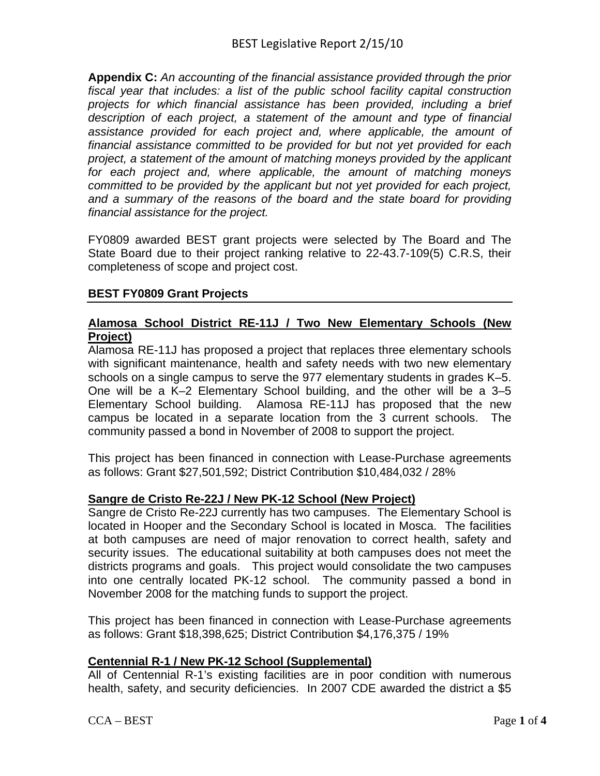**Appendix C:** *An accounting of the financial assistance provided through the prior fiscal year that includes: a list of the public school facility capital construction projects for which financial assistance has been provided, including a brief description of each project, a statement of the amount and type of financial assistance provided for each project and, where applicable, the amount of financial assistance committed to be provided for but not yet provided for each project, a statement of the amount of matching moneys provided by the applicant for each project and, where applicable, the amount of matching moneys committed to be provided by the applicant but not yet provided for each project, and a summary of the reasons of the board and the state board for providing financial assistance for the project.*

FY0809 awarded BEST grant projects were selected by The Board and The State Board due to their project ranking relative to 22-43.7-109(5) C.R.S, their completeness of scope and project cost.

# **BEST FY0809 Grant Projects**

# **Alamosa School District RE-11J / Two New Elementary Schools (New Project)**

Alamosa RE-11J has proposed a project that replaces three elementary schools with significant maintenance, health and safety needs with two new elementary schools on a single campus to serve the 977 elementary students in grades K–5. One will be a K–2 Elementary School building, and the other will be a 3–5 Elementary School building. Alamosa RE-11J has proposed that the new campus be located in a separate location from the 3 current schools. The community passed a bond in November of 2008 to support the project.

This project has been financed in connection with Lease-Purchase agreements as follows: Grant \$27,501,592; District Contribution \$10,484,032 / 28%

# **Sangre de Cristo Re-22J / New PK-12 School (New Project)**

Sangre de Cristo Re-22J currently has two campuses. The Elementary School is located in Hooper and the Secondary School is located in Mosca. The facilities at both campuses are need of major renovation to correct health, safety and security issues. The educational suitability at both campuses does not meet the districts programs and goals. This project would consolidate the two campuses into one centrally located PK-12 school. The community passed a bond in November 2008 for the matching funds to support the project.

This project has been financed in connection with Lease-Purchase agreements as follows: Grant \$18,398,625; District Contribution \$4,176,375 / 19%

# **Centennial R-1 / New PK-12 School (Supplemental)**

All of Centennial R-1's existing facilities are in poor condition with numerous health, safety, and security deficiencies. In 2007 CDE awarded the district a \$5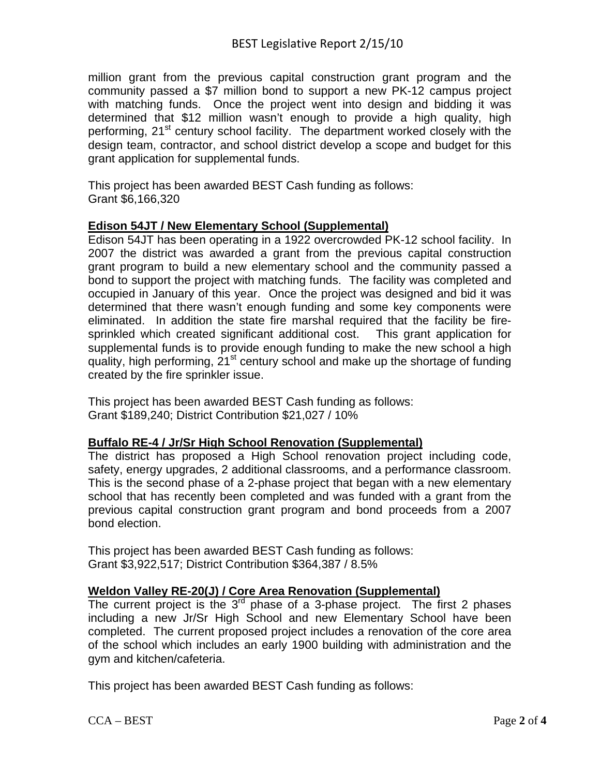million grant from the previous capital construction grant program and the community passed a \$7 million bond to support a new PK-12 campus project with matching funds. Once the project went into design and bidding it was determined that \$12 million wasn't enough to provide a high quality, high performing, 21<sup>st</sup> century school facility. The department worked closely with the design team, contractor, and school district develop a scope and budget for this grant application for supplemental funds.

This project has been awarded BEST Cash funding as follows: Grant \$6,166,320

# **Edison 54JT / New Elementary School (Supplemental)**

Edison 54JT has been operating in a 1922 overcrowded PK-12 school facility. In 2007 the district was awarded a grant from the previous capital construction grant program to build a new elementary school and the community passed a bond to support the project with matching funds. The facility was completed and occupied in January of this year. Once the project was designed and bid it was determined that there wasn't enough funding and some key components were eliminated. In addition the state fire marshal required that the facility be firesprinkled which created significant additional cost. This grant application for supplemental funds is to provide enough funding to make the new school a high quality, high performing, 21<sup>st</sup> century school and make up the shortage of funding created by the fire sprinkler issue.

This project has been awarded BEST Cash funding as follows: Grant \$189,240; District Contribution \$21,027 / 10%

### **Buffalo RE-4 / Jr/Sr High School Renovation (Supplemental)**

The district has proposed a High School renovation project including code, safety, energy upgrades, 2 additional classrooms, and a performance classroom. This is the second phase of a 2-phase project that began with a new elementary school that has recently been completed and was funded with a grant from the previous capital construction grant program and bond proceeds from a 2007 bond election.

This project has been awarded BEST Cash funding as follows: Grant \$3,922,517; District Contribution \$364,387 / 8.5%

# **Weldon Valley RE-20(J) / Core Area Renovation (Supplemental)**

The current project is the  $3^{rd}$  phase of a 3-phase project. The first 2 phases including a new Jr/Sr High School and new Elementary School have been completed. The current proposed project includes a renovation of the core area of the school which includes an early 1900 building with administration and the gym and kitchen/cafeteria.

This project has been awarded BEST Cash funding as follows: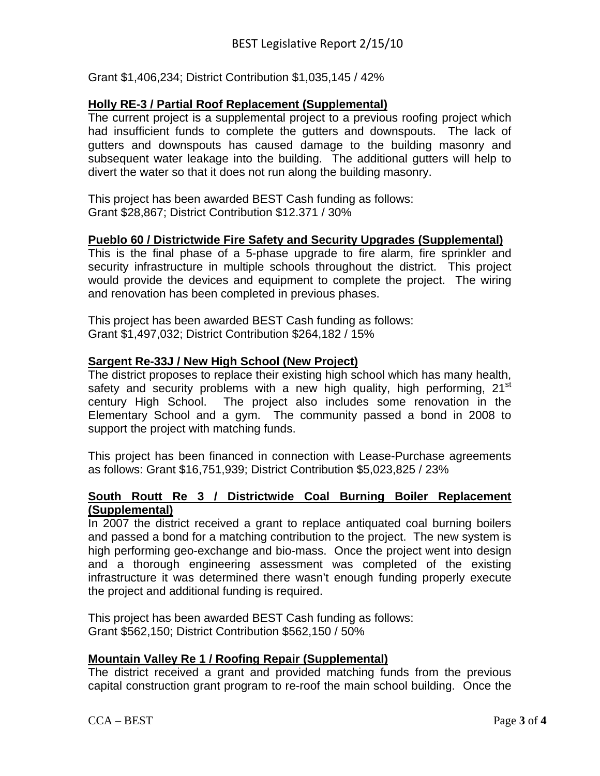Grant \$1,406,234; District Contribution \$1,035,145 / 42%

# **Holly RE-3 / Partial Roof Replacement (Supplemental)**

The current project is a supplemental project to a previous roofing project which had insufficient funds to complete the gutters and downspouts. The lack of gutters and downspouts has caused damage to the building masonry and subsequent water leakage into the building. The additional gutters will help to divert the water so that it does not run along the building masonry.

This project has been awarded BEST Cash funding as follows: Grant \$28,867; District Contribution \$12.371 / 30%

# **Pueblo 60 / Districtwide Fire Safety and Security Upgrades (Supplemental)**

This is the final phase of a 5-phase upgrade to fire alarm, fire sprinkler and security infrastructure in multiple schools throughout the district. This project would provide the devices and equipment to complete the project. The wiring and renovation has been completed in previous phases.

This project has been awarded BEST Cash funding as follows: Grant \$1,497,032; District Contribution \$264,182 / 15%

# **Sargent Re-33J / New High School (New Project)**

The district proposes to replace their existing high school which has many health, safety and security problems with a new high quality, high performing, 21<sup>st</sup> century High School. The project also includes some renovation in the Elementary School and a gym. The community passed a bond in 2008 to support the project with matching funds.

This project has been financed in connection with Lease-Purchase agreements as follows: Grant \$16,751,939; District Contribution \$5,023,825 / 23%

### **South Routt Re 3 / Districtwide Coal Burning Boiler Replacement (Supplemental)**

In 2007 the district received a grant to replace antiquated coal burning boilers and passed a bond for a matching contribution to the project. The new system is high performing geo-exchange and bio-mass. Once the project went into design and a thorough engineering assessment was completed of the existing infrastructure it was determined there wasn't enough funding properly execute the project and additional funding is required.

This project has been awarded BEST Cash funding as follows: Grant \$562,150; District Contribution \$562,150 / 50%

# **Mountain Valley Re 1 / Roofing Repair (Supplemental)**

The district received a grant and provided matching funds from the previous capital construction grant program to re-roof the main school building. Once the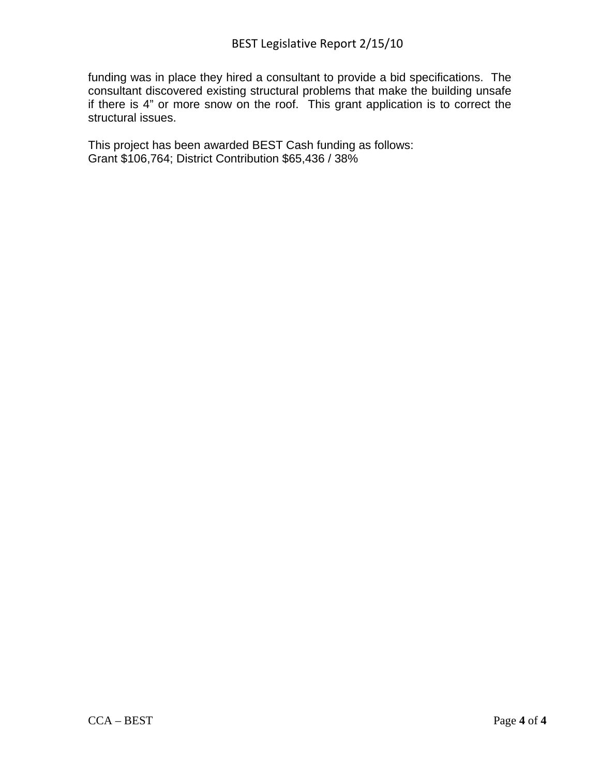funding was in place they hired a consultant to provide a bid specifications. The consultant discovered existing structural problems that make the building unsafe if there is 4" or more snow on the roof. This grant application is to correct the structural issues.

This project has been awarded BEST Cash funding as follows: Grant \$106,764; District Contribution \$65,436 / 38%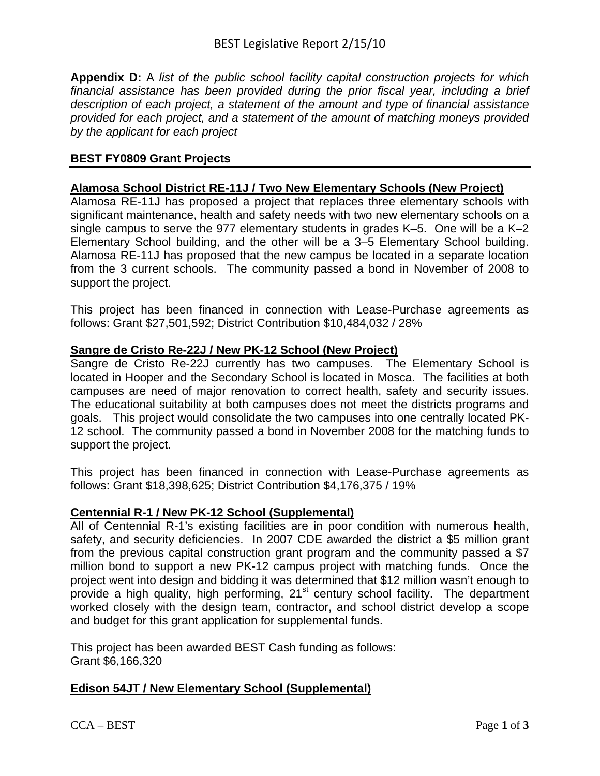**Appendix D:** A *list of the public school facility capital construction projects for which financial assistance has been provided during the prior fiscal year, including a brief description of each project, a statement of the amount and type of financial assistance provided for each project, and a statement of the amount of matching moneys provided by the applicant for each project*

### **BEST FY0809 Grant Projects**

### **Alamosa School District RE-11J / Two New Elementary Schools (New Project)**

Alamosa RE-11J has proposed a project that replaces three elementary schools with significant maintenance, health and safety needs with two new elementary schools on a single campus to serve the 977 elementary students in grades K–5. One will be a K–2 Elementary School building, and the other will be a 3–5 Elementary School building. Alamosa RE-11J has proposed that the new campus be located in a separate location from the 3 current schools. The community passed a bond in November of 2008 to support the project.

This project has been financed in connection with Lease-Purchase agreements as follows: Grant \$27,501,592; District Contribution \$10,484,032 / 28%

### **Sangre de Cristo Re-22J / New PK-12 School (New Project)**

Sangre de Cristo Re-22J currently has two campuses. The Elementary School is located in Hooper and the Secondary School is located in Mosca. The facilities at both campuses are need of major renovation to correct health, safety and security issues. The educational suitability at both campuses does not meet the districts programs and goals. This project would consolidate the two campuses into one centrally located PK-12 school. The community passed a bond in November 2008 for the matching funds to support the project.

This project has been financed in connection with Lease-Purchase agreements as follows: Grant \$18,398,625; District Contribution \$4,176,375 / 19%

### **Centennial R-1 / New PK-12 School (Supplemental)**

All of Centennial R-1's existing facilities are in poor condition with numerous health, safety, and security deficiencies. In 2007 CDE awarded the district a \$5 million grant from the previous capital construction grant program and the community passed a \$7 million bond to support a new PK-12 campus project with matching funds. Once the project went into design and bidding it was determined that \$12 million wasn't enough to provide a high quality, high performing, 21<sup>st</sup> century school facility. The department worked closely with the design team, contractor, and school district develop a scope and budget for this grant application for supplemental funds.

This project has been awarded BEST Cash funding as follows: Grant \$6,166,320

# **Edison 54JT / New Elementary School (Supplemental)**

CCA – BEST Page 1 of 3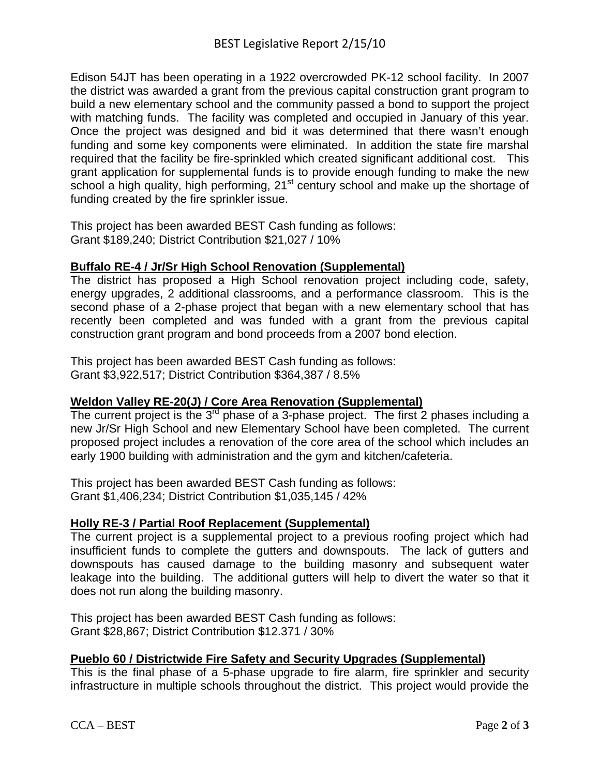Edison 54JT has been operating in a 1922 overcrowded PK-12 school facility. In 2007 the district was awarded a grant from the previous capital construction grant program to build a new elementary school and the community passed a bond to support the project with matching funds. The facility was completed and occupied in January of this year. Once the project was designed and bid it was determined that there wasn't enough funding and some key components were eliminated. In addition the state fire marshal required that the facility be fire-sprinkled which created significant additional cost. This grant application for supplemental funds is to provide enough funding to make the new school a high quality, high performing, 21<sup>st</sup> century school and make up the shortage of funding created by the fire sprinkler issue.

This project has been awarded BEST Cash funding as follows: Grant \$189,240; District Contribution \$21,027 / 10%

# **Buffalo RE-4 / Jr/Sr High School Renovation (Supplemental)**

The district has proposed a High School renovation project including code, safety, energy upgrades, 2 additional classrooms, and a performance classroom. This is the second phase of a 2-phase project that began with a new elementary school that has recently been completed and was funded with a grant from the previous capital construction grant program and bond proceeds from a 2007 bond election.

This project has been awarded BEST Cash funding as follows: Grant \$3,922,517; District Contribution \$364,387 / 8.5%

# **Weldon Valley RE-20(J) / Core Area Renovation (Supplemental)**

The current project is the  $3<sup>rd</sup>$  phase of a 3-phase project. The first 2 phases including a new Jr/Sr High School and new Elementary School have been completed. The current proposed project includes a renovation of the core area of the school which includes an early 1900 building with administration and the gym and kitchen/cafeteria.

This project has been awarded BEST Cash funding as follows: Grant \$1,406,234; District Contribution \$1,035,145 / 42%

### **Holly RE-3 / Partial Roof Replacement (Supplemental)**

The current project is a supplemental project to a previous roofing project which had insufficient funds to complete the gutters and downspouts. The lack of gutters and downspouts has caused damage to the building masonry and subsequent water leakage into the building. The additional gutters will help to divert the water so that it does not run along the building masonry.

This project has been awarded BEST Cash funding as follows: Grant \$28,867; District Contribution \$12.371 / 30%

# **Pueblo 60 / Districtwide Fire Safety and Security Upgrades (Supplemental)**

This is the final phase of a 5-phase upgrade to fire alarm, fire sprinkler and security infrastructure in multiple schools throughout the district. This project would provide the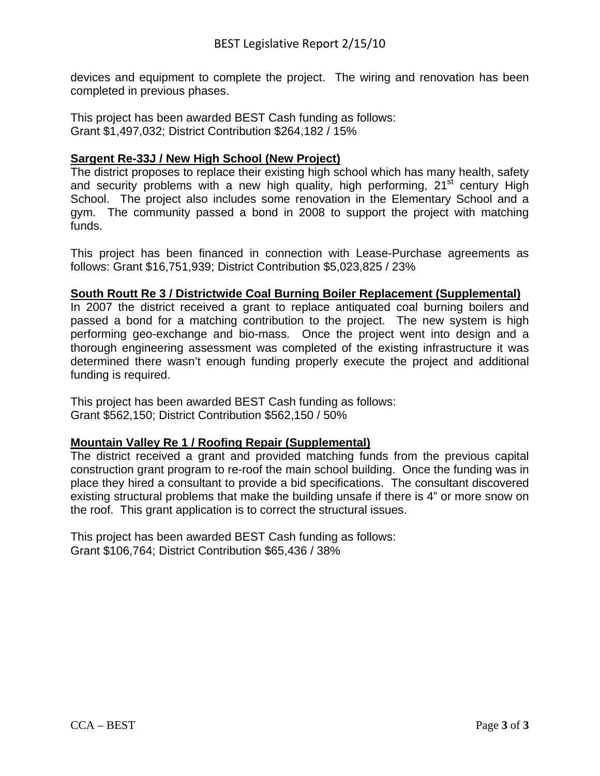devices and equipment to complete the project. The wiring and renovation has been completed in previous phases.

This project has been awarded BEST Cash funding as follows: Grant \$1,497,032; District Contribution \$264,182 / 15%

### **Sargent Re-33J / New High School (New Project)**

The district proposes to replace their existing high school which has many health, safety and security problems with a new high quality, high performing,  $21<sup>st</sup>$  century High School. The project also includes some renovation in the Elementary School and a gym. The community passed a bond in 2008 to support the project with matching funds.

This project has been financed in connection with Lease-Purchase agreements as follows: Grant \$16,751,939; District Contribution \$5,023,825 / 23%

### **South Routt Re 3 / Districtwide Coal Burning Boiler Replacement (Supplemental)**

In 2007 the district received a grant to replace antiquated coal burning boilers and passed a bond for a matching contribution to the project. The new system is high performing geo-exchange and bio-mass. Once the project went into design and a thorough engineering assessment was completed of the existing infrastructure it was determined there wasn't enough funding properly execute the project and additional funding is required.

This project has been awarded BEST Cash funding as follows: Grant \$562,150; District Contribution \$562,150 / 50%

### **Mountain Valley Re 1 / Roofing Repair (Supplemental)**

The district received a grant and provided matching funds from the previous capital construction grant program to re-roof the main school building. Once the funding was in place they hired a consultant to provide a bid specifications. The consultant discovered existing structural problems that make the building unsafe if there is 4" or more snow on the roof. This grant application is to correct the structural issues.

This project has been awarded BEST Cash funding as follows: Grant \$106,764; District Contribution \$65,436 / 38%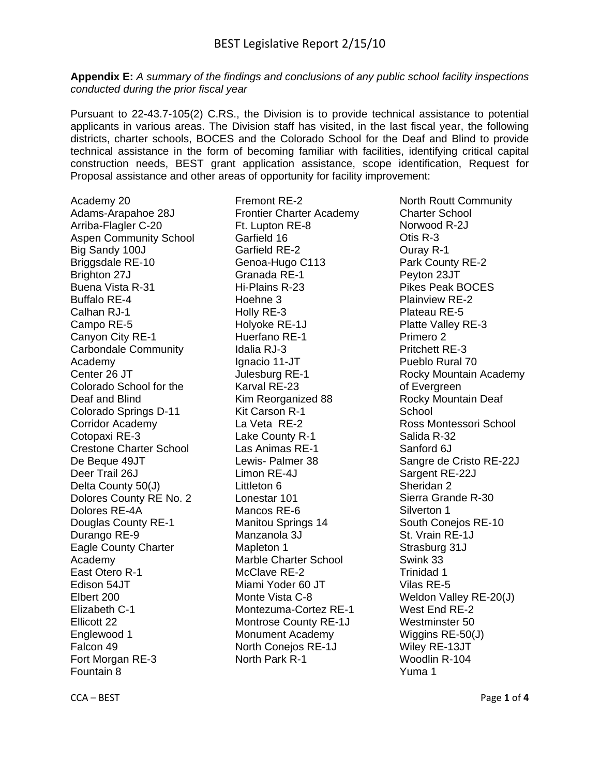**Appendix E:** *A summary of the findings and conclusions of any public school facility inspections conducted during the prior fiscal year*

Pursuant to 22-43.7-105(2) C.RS., the Division is to provide technical assistance to potential applicants in various areas. The Division staff has visited, in the last fiscal year, the following districts, charter schools, BOCES and the Colorado School for the Deaf and Blind to provide technical assistance in the form of becoming familiar with facilities, identifying critical capital construction needs, BEST grant application assistance, scope identification, Request for Proposal assistance and other areas of opportunity for facility improvement:

Academy 20 Adams-Arapahoe 28J Arriba-Flagler C-20 Aspen Community School Big Sandy 100J Briggsdale RE-10 Brighton 27J Buena Vista R-31 Buffalo RE-4 Calhan RJ-1 Campo RE-5 Canyon City RE-1 Carbondale Community Academy Center 26 JT Colorado School for the Deaf and Blind Colorado Springs D-11 Corridor Academy Cotopaxi RE-3 Crestone Charter School De Beque 49JT Deer Trail 26J Delta County 50(J) Dolores County RE No. 2 Dolores RE-4A Douglas County RE-1 Durango RE-9 Eagle County Charter Academy East Otero R-1 Edison 54JT Elbert 200 Elizabeth C-1 Ellicott 22 Englewood 1 Falcon 49 Fort Morgan RE-3 Fountain 8

Fremont RE-2 Frontier Charter Academy Ft. Lupton RE-8 Garfield 16 Garfield RE-2 Genoa-Hugo C113 Granada RE-1 Hi-Plains R-23 Hoehne 3 Holly RE-3 Holyoke RE-1J Huerfano RE-1 Idalia RJ-3 Ignacio 11-JT Julesburg RE-1 Karval RE-23 Kim Reorganized 88 Kit Carson R-1 La Veta RE-2 Lake County R-1 Las Animas RE-1 Lewis- Palmer 38 Limon RE-4J Littleton 6 Lonestar 101 Mancos RE-6 Manitou Springs 14 Manzanola 3J Mapleton 1 Marble Charter School McClave RE-2 Miami Yoder 60 JT Monte Vista C-8 Montezuma-Cortez RE-1 Montrose County RE-1J Monument Academy North Conejos RE-1J North Park R-1

North Routt Community Charter School Norwood R-2J Otis R-3 Ouray R-1 Park County RE-2 Peyton 23JT Pikes Peak BOCES Plainview RE-2 Plateau RE-5 Platte Valley RE-3 Primero 2 Pritchett RE-3 Pueblo Rural 70 Rocky Mountain Academy of Evergreen Rocky Mountain Deaf School Ross Montessori School Salida R-32 Sanford 6J Sangre de Cristo RE-22J Sargent RE-22J Sheridan 2 Sierra Grande R-30 Silverton 1 South Conejos RE-10 St. Vrain RE-1J Strasburg 31J Swink 33 Trinidad 1 Vilas RE-5 Weldon Valley RE-20(J) West End RE-2 Westminster 50 Wiggins RE-50(J) Wiley RE-13JT Woodlin R-104 Yuma 1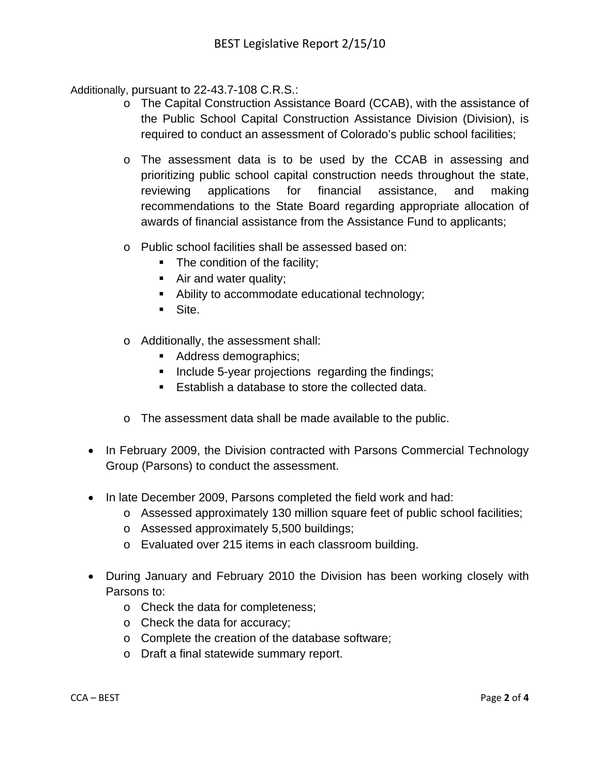Additionally, pursuant to 22-43.7-108 C.R.S.:

- o The Capital Construction Assistance Board (CCAB), with the assistance of the Public School Capital Construction Assistance Division (Division), is required to conduct an assessment of Colorado's public school facilities;
- o The assessment data is to be used by the CCAB in assessing and prioritizing public school capital construction needs throughout the state, reviewing applications for financial assistance, and making recommendations to the State Board regarding appropriate allocation of awards of financial assistance from the Assistance Fund to applicants;
- o Public school facilities shall be assessed based on:
	- The condition of the facility;
	- Air and water quality;
	- Ability to accommodate educational technology;
	- Site.
- o Additionally, the assessment shall:
	- Address demographics;
	- Include 5-year projections regarding the findings;
	- **Establish a database to store the collected data.**
- o The assessment data shall be made available to the public.
- In February 2009, the Division contracted with Parsons Commercial Technology Group (Parsons) to conduct the assessment.
- In late December 2009, Parsons completed the field work and had:
	- o Assessed approximately 130 million square feet of public school facilities;
	- o Assessed approximately 5,500 buildings;
	- o Evaluated over 215 items in each classroom building.
- During January and February 2010 the Division has been working closely with Parsons to:
	- o Check the data for completeness;
	- o Check the data for accuracy;
	- o Complete the creation of the database software;
	- o Draft a final statewide summary report.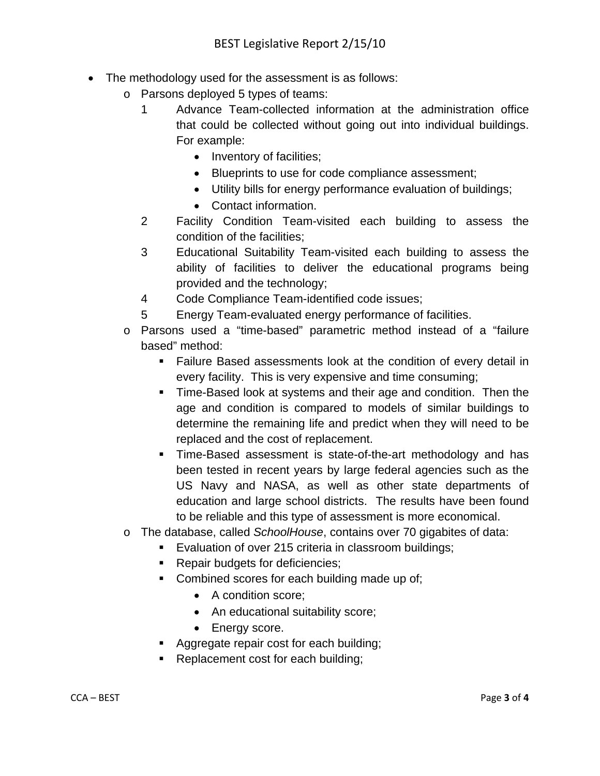- The methodology used for the assessment is as follows:
	- o Parsons deployed 5 types of teams:
		- 1 Advance Team-collected information at the administration office that could be collected without going out into individual buildings. For example:
			- Inventory of facilities;
			- Blueprints to use for code compliance assessment;
			- Utility bills for energy performance evaluation of buildings;
			- Contact information.
		- 2 Facility Condition Team-visited each building to assess the condition of the facilities;
		- 3 Educational Suitability Team-visited each building to assess the ability of facilities to deliver the educational programs being provided and the technology;
		- 4 Code Compliance Team-identified code issues;
		- 5 Energy Team-evaluated energy performance of facilities.
	- o Parsons used a "time-based" parametric method instead of a "failure based" method:
		- Failure Based assessments look at the condition of every detail in every facility. This is very expensive and time consuming;
		- **Time-Based look at systems and their age and condition. Then the** age and condition is compared to models of similar buildings to determine the remaining life and predict when they will need to be replaced and the cost of replacement.
		- Time-Based assessment is state-of-the-art methodology and has been tested in recent years by large federal agencies such as the US Navy and NASA, as well as other state departments of education and large school districts. The results have been found to be reliable and this type of assessment is more economical.
	- o The database, called *SchoolHouse*, contains over 70 gigabites of data:
		- **Evaluation of over 215 criteria in classroom buildings;**
		- Repair budgets for deficiencies;
		- Combined scores for each building made up of;
			- A condition score;
			- An educational suitability score;
			- Energy score.
		- **Aggregate repair cost for each building;**
		- Replacement cost for each building;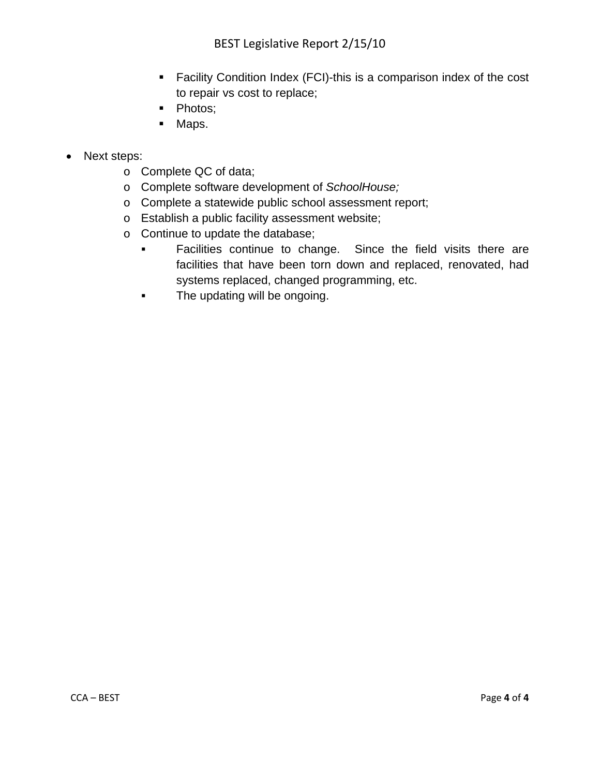- Facility Condition Index (FCI)-this is a comparison index of the cost to repair vs cost to replace;
- Photos;
- **Maps.**
- Next steps:
	- o Complete QC of data;
	- o Complete software development of *SchoolHouse;*
	- o Complete a statewide public school assessment report;
	- o Establish a public facility assessment website;
	- o Continue to update the database;
		- **Facilities continue to change.** Since the field visits there are facilities that have been torn down and replaced, renovated, had systems replaced, changed programming, etc.
		- **The updating will be ongoing.**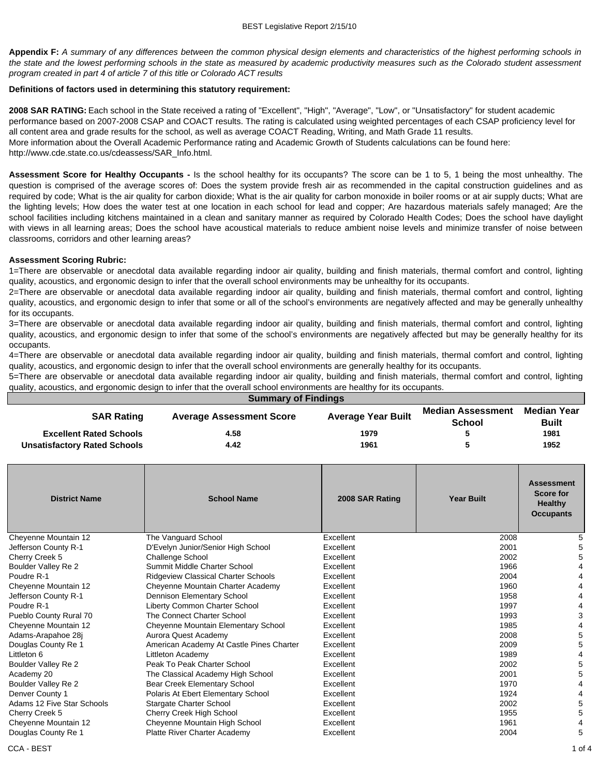**Appendix F:** *A summary of any differences between the common physical design elements and characteristics of the highest performing schools in the state and the lowest performing schools in the state as measured by academic productivity measures such as the Colorado student assessment program created in part 4 of article 7 of this title or Colorado ACT results*

#### **Definitions of factors used in determining this statutory requirement:**

**2008 SAR RATING:** Each school in the State received a rating of "Excellent", "High", "Average", "Low", or "Unsatisfactory" for student academic performance based on 2007-2008 CSAP and COACT results. The rating is calculated using weighted percentages of each CSAP proficiency level for all content area and grade results for the school, as well as average COACT Reading, Writing, and Math Grade 11 results. More information about the Overall Academic Performance rating and Academic Growth of Students calculations can be found here: http://www.cde.state.co.us/cdeassess/SAR\_Info.html.

**Assessment Score for Healthy Occupants -** Is the school healthy for its occupants? The score can be 1 to 5, 1 being the most unhealthy. The question is comprised of the average scores of: Does the system provide fresh air as recommended in the capital construction guidelines and as required by code; What is the air quality for carbon dioxide; What is the air quality for carbon monoxide in boiler rooms or at air supply ducts; What are the lighting levels; How does the water test at one location in each school for lead and copper; Are hazardous materials safely managed; Are the school facilities including kitchens maintained in a clean and sanitary manner as required by Colorado Health Codes; Does the school have daylight with views in all learning areas; Does the school have acoustical materials to reduce ambient noise levels and minimize transfer of noise between classrooms, corridors and other learning areas?

#### **Assessment Scoring Rubric:**

1=There are observable or anecdotal data available regarding indoor air quality, building and finish materials, thermal comfort and control, lighting quality, acoustics, and ergonomic design to infer that the overall school environments may be unhealthy for its occupants.

2=There are observable or anecdotal data available regarding indoor air quality, building and finish materials, thermal comfort and control, lighting quality, acoustics, and ergonomic design to infer that some or all of the school's environments are negatively affected and may be generally unhealthy for its occupants.

3=There are observable or anecdotal data available regarding indoor air quality, building and finish materials, thermal comfort and control, lighting quality, acoustics, and ergonomic design to infer that some of the school's environments are negatively affected but may be generally healthy for its occupants.

4=There are observable or anecdotal data available regarding indoor air quality, building and finish materials, thermal comfort and control, lighting quality, acoustics, and ergonomic design to infer that the overall school environments are generally healthy for its occupants.

5=There are observable or anecdotal data available regarding indoor air quality, building and finish materials, thermal comfort and control, lighting quality, acoustics, and ergonomic design to infer that the overall school environments are healthy for its occupants.

| <b>Summary of Findings</b>          |                                 |                           |                                    |                             |  |  |  |  |  |
|-------------------------------------|---------------------------------|---------------------------|------------------------------------|-----------------------------|--|--|--|--|--|
| <b>SAR Rating</b>                   | <b>Average Assessment Score</b> | <b>Average Year Built</b> | <b>Median Assessment</b><br>School | Median Year<br><b>Built</b> |  |  |  |  |  |
| <b>Excellent Rated Schools</b>      | 4.58                            | 1979                      |                                    | 1981                        |  |  |  |  |  |
| <b>Unsatisfactory Rated Schools</b> | 4.42                            | 1961                      |                                    | 1952                        |  |  |  |  |  |

| <b>District Name</b>       | <b>School Name</b>                       | 2008 SAR Rating | <b>Year Built</b> | <b>Assessment</b><br><b>Score for</b><br><b>Healthy</b><br><b>Occupants</b> |
|----------------------------|------------------------------------------|-----------------|-------------------|-----------------------------------------------------------------------------|
| Cheyenne Mountain 12       | The Vanguard School                      | Excellent       | 2008              | 5                                                                           |
| Jefferson County R-1       | D'Evelyn Junior/Senior High School       | Excellent       | 2001              | 5                                                                           |
| Cherry Creek 5             | <b>Challenge School</b>                  | Excellent       | 2002              | 5                                                                           |
| Boulder Valley Re 2        | Summit Middle Charter School             | Excellent       | 1966              | 4                                                                           |
| Poudre R-1                 | Ridgeview Classical Charter Schools      | Excellent       | 2004              | 4                                                                           |
| Cheyenne Mountain 12       | Cheyenne Mountain Charter Academy        | Excellent       | 1960              | 4                                                                           |
| Jefferson County R-1       | Dennison Elementary School               | Excellent       | 1958              | 4                                                                           |
| Poudre R-1                 | Liberty Common Charter School            | Excellent       | 1997              | 4                                                                           |
| Pueblo County Rural 70     | The Connect Charter School               | Excellent       | 1993              | 3                                                                           |
| Cheyenne Mountain 12       | Cheyenne Mountain Elementary School      | Excellent       | 1985              | 4                                                                           |
| Adams-Arapahoe 28j         | Aurora Quest Academy                     | Excellent       | 2008              | 5                                                                           |
| Douglas County Re 1        | American Academy At Castle Pines Charter | Excellent       | 2009              | 5                                                                           |
| Littleton 6                | Littleton Academy                        | Excellent       | 1989              | 4                                                                           |
| Boulder Valley Re 2        | Peak To Peak Charter School              | Excellent       | 2002              | 5                                                                           |
| Academy 20                 | The Classical Academy High School        | Excellent       | 2001              | 5                                                                           |
| Boulder Valley Re 2        | Bear Creek Elementary School             | Excellent       | 1970              | 4                                                                           |
| Denver County 1            | Polaris At Ebert Elementary School       | Excellent       | 1924              | 4                                                                           |
| Adams 12 Five Star Schools | <b>Stargate Charter School</b>           | Excellent       | 2002              | 5                                                                           |
| Cherry Creek 5             | Cherry Creek High School                 | Excellent       | 1955              | 5                                                                           |
| Cheyenne Mountain 12       | Cheyenne Mountain High School            | Excellent       | 1961              | 4                                                                           |
| Douglas County Re 1        | <b>Platte River Charter Academy</b>      | Excellent       | 2004              | 5                                                                           |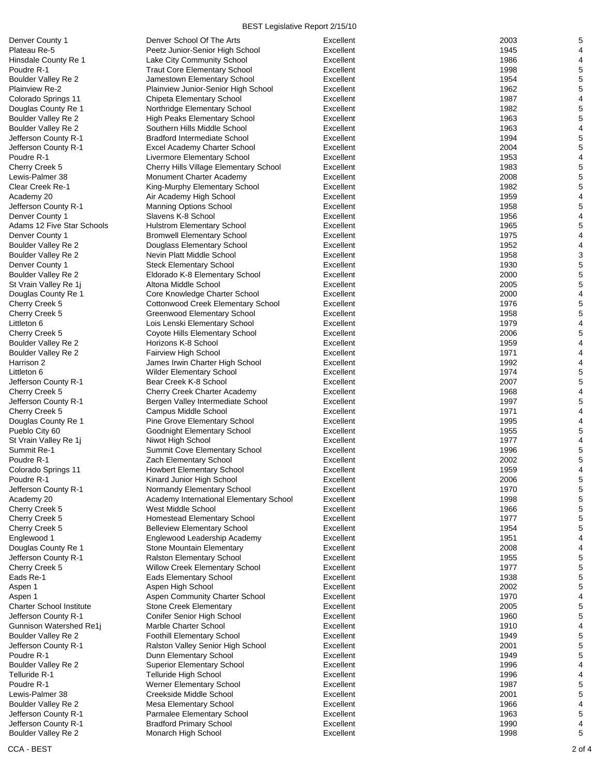| Denver County 1                                          | Denver School Of The Arts                                           | Excellent              | 2003         | 5              |
|----------------------------------------------------------|---------------------------------------------------------------------|------------------------|--------------|----------------|
| Plateau Re-5                                             | Peetz Junior-Senior High School                                     | Excellent              | 1945         | $\overline{4}$ |
| Hinsdale County Re 1                                     | Lake City Community School                                          | Excellent              | 1986         | 4              |
| Poudre R-1                                               | <b>Traut Core Elementary School</b>                                 | Excellent              | 1998         | 5              |
| Boulder Valley Re 2                                      | Jamestown Elementary School                                         | Excellent              | 1954         | 5              |
| Plainview Re-2                                           | Plainview Junior-Senior High School                                 | Excellent              | 1962         | 5              |
| Colorado Springs 11                                      | Chipeta Elementary School                                           | Excellent              | 1987         | 4              |
| Douglas County Re 1                                      | Northridge Elementary School                                        | Excellent              | 1982         | 5              |
| <b>Boulder Valley Re 2</b><br><b>Boulder Valley Re 2</b> | High Peaks Elementary School<br>Southern Hills Middle School        | Excellent<br>Excellent | 1963<br>1963 | 5<br>4         |
| Jefferson County R-1                                     | <b>Bradford Intermediate School</b>                                 | Excellent              | 1994         | 5              |
| Jefferson County R-1                                     | Excel Academy Charter School                                        | Excellent              | 2004         | 5              |
| Poudre R-1                                               | Livermore Elementary School                                         | Excellent              | 1953         | 4              |
| Cherry Creek 5                                           | Cherry Hills Village Elementary School                              | Excellent              | 1983         | $\mathbf 5$    |
| Lewis-Palmer 38                                          | Monument Charter Academy                                            | Excellent              | 2008         | $\mathbf 5$    |
| Clear Creek Re-1                                         | King-Murphy Elementary School                                       | Excellent              | 1982         | 5              |
| Academy 20                                               | Air Academy High School                                             | Excellent              | 1959         | $\overline{4}$ |
| Jefferson County R-1                                     | <b>Manning Options School</b>                                       | Excellent              | 1958         | 5              |
| Denver County 1                                          | Slavens K-8 School                                                  | Excellent              | 1956         | 4              |
| Adams 12 Five Star Schools                               | <b>Hulstrom Elementary School</b>                                   | Excellent              | 1965         | 5              |
| Denver County 1                                          | <b>Bromwell Elementary School</b>                                   | Excellent              | 1975         | 4              |
| Boulder Valley Re 2                                      | Douglass Elementary School                                          | Excellent              | 1952         | $\overline{4}$ |
| Boulder Valley Re 2                                      | Nevin Platt Middle School                                           | Excellent              | 1958         | 3              |
| Denver County 1                                          | <b>Steck Elementary School</b>                                      | Excellent              | 1930         | 5              |
| Boulder Valley Re 2                                      | Eldorado K-8 Elementary School                                      | Excellent              | 2000         | 5              |
| St Vrain Valley Re 1j                                    | Altona Middle School                                                | Excellent<br>Excellent | 2005<br>2000 | 5              |
| Douglas County Re 1<br>Cherry Creek 5                    | Core Knowledge Charter School<br>Cottonwood Creek Elementary School | Excellent              | 1976         | 4<br>5         |
| Cherry Creek 5                                           | <b>Greenwood Elementary School</b>                                  | Excellent              | 1958         | 5              |
| Littleton 6                                              | Lois Lenski Elementary School                                       | Excellent              | 1979         | 4              |
| Cherry Creek 5                                           | Coyote Hills Elementary School                                      | Excellent              | 2006         | 5              |
| Boulder Valley Re 2                                      | Horizons K-8 School                                                 | Excellent              | 1959         | 4              |
| Boulder Valley Re 2                                      | Fairview High School                                                | Excellent              | 1971         | 4              |
| Harrison 2                                               | James Irwin Charter High School                                     | Excellent              | 1992         | $\overline{4}$ |
| Littleton 6                                              | <b>Wilder Elementary School</b>                                     | Excellent              | 1974         | 5              |
| Jefferson County R-1                                     | Bear Creek K-8 School                                               | Excellent              | 2007         | 5              |
| Cherry Creek 5                                           | <b>Cherry Creek Charter Academy</b>                                 | Excellent              | 1968         | $\overline{4}$ |
| Jefferson County R-1                                     | Bergen Valley Intermediate School                                   | Excellent              | 1997         | 5              |
| Cherry Creek 5                                           | Campus Middle School                                                | Excellent              | 1971         | 4              |
| Douglas County Re 1                                      | Pine Grove Elementary School                                        | Excellent              | 1995         | $\overline{4}$ |
| Pueblo City 60                                           | Goodnight Elementary School                                         | Excellent              | 1955         | 5              |
| St Vrain Valley Re 1j                                    | Niwot High School                                                   | Excellent              | 1977         | 4              |
| Summit Re-1                                              | Summit Cove Elementary School                                       | Excellent              | 1996         | 5              |
| Poudre R-1                                               | Zach Elementary School                                              | Excellent              | 2002<br>1959 | 5<br>4         |
| Colorado Springs 11<br>Poudre R-1                        | <b>Howbert Elementary School</b><br>Kinard Junior High School       | Excellent<br>Excellent | 2006         | 5              |
| Jefferson County R-1                                     | Normandy Elementary School                                          | Excellent              | 1970         | 5              |
| Academy 20                                               | Academy International Elementary School                             | Excellent              | 1998         | 5              |
| Cherry Creek 5                                           | West Middle School                                                  | Excellent              | 1966         | 5              |
| Cherry Creek 5                                           | Homestead Elementary School                                         | Excellent              | 1977         | 5              |
| Cherry Creek 5                                           | <b>Belleview Elementary School</b>                                  | Excellent              | 1954         | 5              |
| Englewood 1                                              | Englewood Leadership Academy                                        | Excellent              | 1951         | 4              |
| Douglas County Re 1                                      | Stone Mountain Elementary                                           | Excellent              | 2008         | 4              |
| Jefferson County R-1                                     | <b>Ralston Elementary School</b>                                    | Excellent              | 1955         | 5              |
| Cherry Creek 5                                           | <b>Willow Creek Elementary School</b>                               | Excellent              | 1977         | 5              |
| Eads Re-1                                                | Eads Elementary School                                              | Excellent              | 1938         | 5              |
| Aspen 1                                                  | Aspen High School                                                   | Excellent              | 2002         | 5              |
| Aspen 1                                                  | Aspen Community Charter School                                      | Excellent              | 1970         | 4              |
| <b>Charter School Institute</b>                          | <b>Stone Creek Elementary</b>                                       | Excellent              | 2005         | 5              |
| Jefferson County R-1                                     | Conifer Senior High School                                          | Excellent              | 1960         | 5              |
| Gunnison Watershed Re1j                                  | Marble Charter School                                               | Excellent              | 1910         | 4              |
| Boulder Valley Re 2                                      | <b>Foothill Elementary School</b>                                   | Excellent<br>Excellent | 1949         | 5              |
| Jefferson County R-1<br>Poudre R-1                       | Ralston Valley Senior High School<br>Dunn Elementary School         | Excellent              | 2001<br>1949 | 5<br>5         |
| Boulder Valley Re 2                                      | <b>Superior Elementary School</b>                                   | Excellent              | 1996         | 4              |
| Telluride R-1                                            | Telluride High School                                               | Excellent              | 1996         | 4              |
| Poudre R-1                                               | Werner Elementary School                                            | Excellent              | 1987         | 5              |
| Lewis-Palmer 38                                          | Creekside Middle School                                             | Excellent              | 2001         | 5              |
| Boulder Valley Re 2                                      | Mesa Elementary School                                              | Excellent              | 1966         | 4              |
| Jefferson County R-1                                     | Parmalee Elementary School                                          | Excellent              | 1963         | 5              |
| Jefferson County R-1                                     | <b>Bradford Primary School</b>                                      | Excellent              | 1990         | 4              |
| Boulder Valley Re 2                                      | Monarch High School                                                 | Excellent              | 1998         | 5              |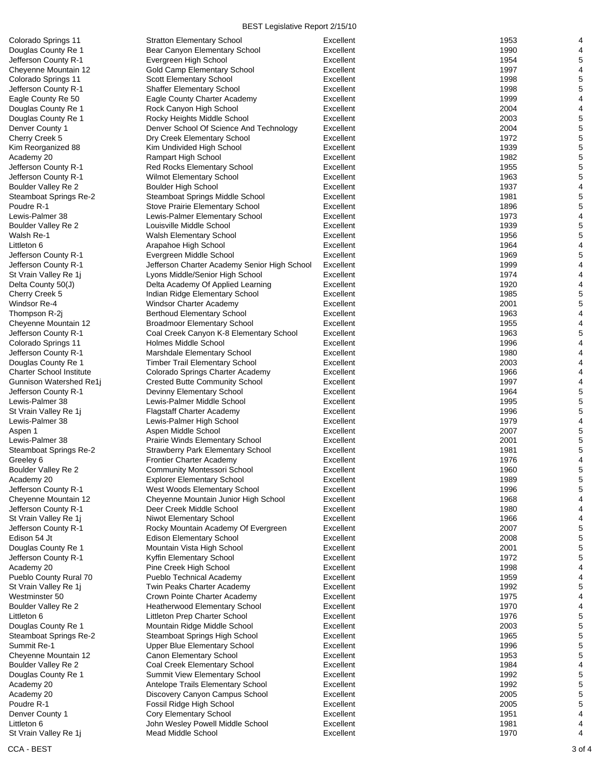| Colorado Springs 11<br>Douglas County Re 1<br>Jefferson County R-1<br>Cheyenne Mountain 12<br>Colorado Springs 11<br>Jefferson County R-1<br>Eagle County Re 50<br>Douglas County Re 1<br>Douglas County Re 1<br>Denver County 1<br>Cherry Creek 5<br>Kim Reorganized 88<br>Academy 20<br>Jefferson County R-1<br>Jefferson County R-1<br>Boulder Valley Re 2<br>Steamboat Springs Re-2<br>Poudre R-1<br>Lewis-Palmer 38<br>Boulder Valley Re 2<br>Walsh Re-1 |
|---------------------------------------------------------------------------------------------------------------------------------------------------------------------------------------------------------------------------------------------------------------------------------------------------------------------------------------------------------------------------------------------------------------------------------------------------------------|
|                                                                                                                                                                                                                                                                                                                                                                                                                                                               |
|                                                                                                                                                                                                                                                                                                                                                                                                                                                               |
|                                                                                                                                                                                                                                                                                                                                                                                                                                                               |
|                                                                                                                                                                                                                                                                                                                                                                                                                                                               |
|                                                                                                                                                                                                                                                                                                                                                                                                                                                               |
|                                                                                                                                                                                                                                                                                                                                                                                                                                                               |
|                                                                                                                                                                                                                                                                                                                                                                                                                                                               |
|                                                                                                                                                                                                                                                                                                                                                                                                                                                               |
|                                                                                                                                                                                                                                                                                                                                                                                                                                                               |
|                                                                                                                                                                                                                                                                                                                                                                                                                                                               |
|                                                                                                                                                                                                                                                                                                                                                                                                                                                               |
|                                                                                                                                                                                                                                                                                                                                                                                                                                                               |
|                                                                                                                                                                                                                                                                                                                                                                                                                                                               |
|                                                                                                                                                                                                                                                                                                                                                                                                                                                               |
|                                                                                                                                                                                                                                                                                                                                                                                                                                                               |
|                                                                                                                                                                                                                                                                                                                                                                                                                                                               |
|                                                                                                                                                                                                                                                                                                                                                                                                                                                               |
|                                                                                                                                                                                                                                                                                                                                                                                                                                                               |
|                                                                                                                                                                                                                                                                                                                                                                                                                                                               |
|                                                                                                                                                                                                                                                                                                                                                                                                                                                               |
|                                                                                                                                                                                                                                                                                                                                                                                                                                                               |
|                                                                                                                                                                                                                                                                                                                                                                                                                                                               |
| Littleton 6                                                                                                                                                                                                                                                                                                                                                                                                                                                   |
| Jefferson County R-1                                                                                                                                                                                                                                                                                                                                                                                                                                          |
| Jefferson County R-1                                                                                                                                                                                                                                                                                                                                                                                                                                          |
| St Vrain Valley Re 1j                                                                                                                                                                                                                                                                                                                                                                                                                                         |
| Delta County 50(J)                                                                                                                                                                                                                                                                                                                                                                                                                                            |
| Cherry Creek 5                                                                                                                                                                                                                                                                                                                                                                                                                                                |
| Windsor Re-4                                                                                                                                                                                                                                                                                                                                                                                                                                                  |
| Thompson R-2j                                                                                                                                                                                                                                                                                                                                                                                                                                                 |
| Cheyenne Mountain 12                                                                                                                                                                                                                                                                                                                                                                                                                                          |
| Jefferson County R-1                                                                                                                                                                                                                                                                                                                                                                                                                                          |
| Colorado Springs 11                                                                                                                                                                                                                                                                                                                                                                                                                                           |
| Jefferson County R-1                                                                                                                                                                                                                                                                                                                                                                                                                                          |
| Douglas County Re 1                                                                                                                                                                                                                                                                                                                                                                                                                                           |
| <b>Charter School Institute</b>                                                                                                                                                                                                                                                                                                                                                                                                                               |
| Gunnison Watershed Re1j                                                                                                                                                                                                                                                                                                                                                                                                                                       |
| Jefferson County R-1                                                                                                                                                                                                                                                                                                                                                                                                                                          |
| Lewis-Palmer 38                                                                                                                                                                                                                                                                                                                                                                                                                                               |
| St Vrain Valley Re 1j                                                                                                                                                                                                                                                                                                                                                                                                                                         |
| Lewis-Palmer 38                                                                                                                                                                                                                                                                                                                                                                                                                                               |
|                                                                                                                                                                                                                                                                                                                                                                                                                                                               |
| Aspen 1                                                                                                                                                                                                                                                                                                                                                                                                                                                       |
| Lewis-Palmer 38                                                                                                                                                                                                                                                                                                                                                                                                                                               |
| Steamboat Springs Re-2                                                                                                                                                                                                                                                                                                                                                                                                                                        |
|                                                                                                                                                                                                                                                                                                                                                                                                                                                               |
| Greeley 6                                                                                                                                                                                                                                                                                                                                                                                                                                                     |
| Boulder Valley Re 2                                                                                                                                                                                                                                                                                                                                                                                                                                           |
| Academy 20                                                                                                                                                                                                                                                                                                                                                                                                                                                    |
| Jefferson County R-1                                                                                                                                                                                                                                                                                                                                                                                                                                          |
| Cheyenne Mountain 12                                                                                                                                                                                                                                                                                                                                                                                                                                          |
| Jefferson County R-1                                                                                                                                                                                                                                                                                                                                                                                                                                          |
| St Vrain Valley Re 1j                                                                                                                                                                                                                                                                                                                                                                                                                                         |
| Jefferson County R-1                                                                                                                                                                                                                                                                                                                                                                                                                                          |
| Edison 54 Jt                                                                                                                                                                                                                                                                                                                                                                                                                                                  |
|                                                                                                                                                                                                                                                                                                                                                                                                                                                               |
| Douglas County Re 1                                                                                                                                                                                                                                                                                                                                                                                                                                           |
| Jefferson County R-1                                                                                                                                                                                                                                                                                                                                                                                                                                          |
| Academy 20                                                                                                                                                                                                                                                                                                                                                                                                                                                    |
| Pueblo County Rural 70                                                                                                                                                                                                                                                                                                                                                                                                                                        |
| St Vrain Valley Re 1j                                                                                                                                                                                                                                                                                                                                                                                                                                         |
| Westminster 50                                                                                                                                                                                                                                                                                                                                                                                                                                                |
| Boulder Valley Re 2                                                                                                                                                                                                                                                                                                                                                                                                                                           |
| Littleton 6                                                                                                                                                                                                                                                                                                                                                                                                                                                   |
| Douglas County Re 1                                                                                                                                                                                                                                                                                                                                                                                                                                           |
|                                                                                                                                                                                                                                                                                                                                                                                                                                                               |
| Steamboat Springs Re-2<br>Summit Re-1                                                                                                                                                                                                                                                                                                                                                                                                                         |
| Cheyenne Mountain 12                                                                                                                                                                                                                                                                                                                                                                                                                                          |
| Boulder Valley Re 2                                                                                                                                                                                                                                                                                                                                                                                                                                           |
| Douglas County Re 1                                                                                                                                                                                                                                                                                                                                                                                                                                           |
| Academy 20                                                                                                                                                                                                                                                                                                                                                                                                                                                    |
| Academy 20                                                                                                                                                                                                                                                                                                                                                                                                                                                    |
| Poudre R-1                                                                                                                                                                                                                                                                                                                                                                                                                                                    |
| Denver County 1                                                                                                                                                                                                                                                                                                                                                                                                                                               |
| Littleton 6<br>St Vrain Valley Re 1 <mark>j</mark>                                                                                                                                                                                                                                                                                                                                                                                                            |

| Colorado Springs 11             | <b>Stratton Elementary School</b>                      | Excellent | 1953 | 4                       |
|---------------------------------|--------------------------------------------------------|-----------|------|-------------------------|
| Douglas County Re 1             | Bear Canyon Elementary School                          | Excellent | 1990 | 4                       |
| Jefferson County R-1            | Evergreen High School                                  | Excellent | 1954 | 5                       |
| Cheyenne Mountain 12            | Gold Camp Elementary School                            | Excellent | 1997 | $\overline{\mathbf{4}}$ |
| Colorado Springs 11             | <b>Scott Elementary School</b>                         | Excellent | 1998 | 5                       |
| Jefferson County R-1            | <b>Shaffer Elementary School</b>                       | Excellent | 1998 | 5                       |
| Eagle County Re 50              | Eagle County Charter Academy                           | Excellent | 1999 | 4                       |
| Douglas County Re 1             | Rock Canyon High School                                | Excellent | 2004 | 4                       |
| Douglas County Re 1             | Rocky Heights Middle School                            | Excellent | 2003 | 5                       |
| Denver County 1                 | Denver School Of Science And Technology                | Excellent | 2004 | $\mathbf 5$             |
| Cherry Creek 5                  | Dry Creek Elementary School                            | Excellent | 1972 | 5                       |
| Kim Reorganized 88              | Kim Undivided High School                              | Excellent | 1939 | 5                       |
| Academy 20                      | <b>Rampart High School</b>                             | Excellent | 1982 | $\mathbf 5$             |
| Jefferson County R-1            | <b>Red Rocks Elementary School</b>                     | Excellent | 1955 | 5                       |
| Jefferson County R-1            | Wilmot Elementary School                               | Excellent | 1963 | 5                       |
| Boulder Valley Re 2             | <b>Boulder High School</b>                             | Excellent | 1937 | $\overline{\mathbf{4}}$ |
| Steamboat Springs Re-2          | Steamboat Springs Middle School                        | Excellent | 1981 | 5                       |
| Poudre R-1                      | Stove Prairie Elementary School                        | Excellent | 1896 | 5                       |
| Lewis-Palmer 38                 | Lewis-Palmer Elementary School                         | Excellent | 1973 | $\overline{\mathbf{4}}$ |
| Boulder Valley Re 2             | Louisville Middle School                               | Excellent | 1939 | 5                       |
|                                 |                                                        | Excellent | 1956 | 5                       |
| Walsh Re-1                      | Walsh Elementary School                                |           |      | 4                       |
| Littleton 6                     | Arapahoe High School                                   | Excellent | 1964 |                         |
| Jefferson County R-1            | Evergreen Middle School                                | Excellent | 1969 | 5                       |
| Jefferson County R-1            | Jefferson Charter Academy Senior High School           | Excellent | 1999 | $\overline{\mathbf{4}}$ |
| St Vrain Valley Re 1j           | Lyons Middle/Senior High School                        | Excellent | 1974 | 4                       |
| Delta County 50(J)              | Delta Academy Of Applied Learning                      | Excellent | 1920 | 4                       |
| Cherry Creek 5                  | Indian Ridge Elementary School                         | Excellent | 1985 | $\mathbf 5$             |
| Windsor Re-4                    | Windsor Charter Academy                                | Excellent | 2001 | $\,$ 5 $\,$             |
| Thompson R-2i                   | <b>Berthoud Elementary School</b>                      | Excellent | 1963 | 4                       |
| Cheyenne Mountain 12            | <b>Broadmoor Elementary School</b>                     | Excellent | 1955 | 4                       |
| Jefferson County R-1            | Coal Creek Canyon K-8 Elementary School                | Excellent | 1963 | 5                       |
| Colorado Springs 11             | Holmes Middle School                                   | Excellent | 1996 | 4                       |
| Jefferson County R-1            | Marshdale Elementary School                            | Excellent | 1980 | $\overline{\mathbf{4}}$ |
| Douglas County Re 1             | <b>Timber Trail Elementary School</b>                  | Excellent | 2003 | 4                       |
| <b>Charter School Institute</b> | Colorado Springs Charter Academy                       | Excellent | 1966 | 4                       |
| Gunnison Watershed Re1j         | <b>Crested Butte Community School</b>                  | Excellent | 1997 | $\overline{\mathbf{4}}$ |
| Jefferson County R-1            | Devinny Elementary School                              | Excellent | 1964 | 5                       |
| Lewis-Palmer 38                 | Lewis-Palmer Middle School                             | Excellent | 1995 | $\mathbf 5$             |
| St Vrain Valley Re 1j           | <b>Flagstaff Charter Academy</b>                       | Excellent | 1996 | 5                       |
| Lewis-Palmer 38                 | Lewis-Palmer High School                               | Excellent | 1979 | 4                       |
| Aspen 1                         | Aspen Middle School                                    | Excellent | 2007 | 5                       |
| Lewis-Palmer 38                 | <b>Prairie Winds Elementary School</b>                 | Excellent | 2001 | 5                       |
| Steamboat Springs Re-2          | <b>Strawberry Park Elementary School</b>               | Excellent | 1981 | 5                       |
| Greeley 6                       | Frontier Charter Academy                               | Excellent | 1976 | 4                       |
| Boulder Valley Re 2             | <b>Community Montessori School</b>                     | Excellent | 1960 | 5                       |
| Academy 20                      | <b>Explorer Elementary School</b>                      | Excellent | 1989 | 5                       |
| Jefferson County R-1            | West Woods Elementary School                           | Excellent | 1996 | 5                       |
| Cheyenne Mountain 12            | Cheyenne Mountain Junior High School                   | Excellent | 1968 | 4                       |
| Jefferson County R-1            | Deer Creek Middle School                               | Excellent | 1980 | 4                       |
| St Vrain Valley Re 1j           | Niwot Elementary School                                | Excellent | 1966 | 4                       |
| Jefferson County R-1            | Rocky Mountain Academy Of Evergreen                    | Excellent | 2007 | 5                       |
| Edison 54 Jt                    | <b>Edison Elementary School</b>                        | Excellent | 2008 | 5                       |
| Douglas County Re 1             | Mountain Vista High School                             | Excellent | 2001 | 5                       |
| Jefferson County R-1            | Kyffin Elementary School                               | Excellent | 1972 | 5                       |
| Academy 20                      | Pine Creek High School                                 | Excellent | 1998 | 4                       |
| Pueblo County Rural 70          | Pueblo Technical Academy                               | Excellent | 1959 | 4                       |
| St Vrain Valley Re 1j           | Twin Peaks Charter Academy                             | Excellent | 1992 | 5                       |
| Westminster 50                  | Crown Pointe Charter Academy                           | Excellent | 1975 | 4                       |
| Boulder Valley Re 2             | Heatherwood Elementary School                          | Excellent | 1970 | 4                       |
| Littleton 6                     | Littleton Prep Charter School                          | Excellent | 1976 | $\,$ 5 $\,$             |
| Douglas County Re 1             | Mountain Ridge Middle School                           | Excellent | 2003 | 5                       |
| Steamboat Springs Re-2          | Steamboat Springs High School                          | Excellent | 1965 | 5                       |
| Summit Re-1                     | <b>Upper Blue Elementary School</b>                    | Excellent | 1996 | $\,$ 5 $\,$             |
| Cheyenne Mountain 12            | Canon Elementary School                                | Excellent | 1953 | 5                       |
| Boulder Valley Re 2             | Coal Creek Elementary School                           | Excellent | 1984 | 4                       |
| Douglas County Re 1             | <b>Summit View Elementary School</b>                   | Excellent | 1992 | 5                       |
| Academy 20                      | Antelope Trails Elementary School                      | Excellent | 1992 | 5                       |
| Academy 20                      | Discovery Canyon Campus School                         | Excellent | 2005 | 5                       |
| Poudre R-1                      | Fossil Ridge High School                               | Excellent | 2005 | 5                       |
| Denver County 1                 | Cory Elementary School                                 | Excellent | 1951 | 4                       |
| Littleton 6                     |                                                        | Excellent | 1981 |                         |
|                                 | John Wesley Powell Middle School<br>Mead Middle School | Excellent | 1970 | 4<br>4                  |
| St Vrain Valley Re 1j           |                                                        |           |      |                         |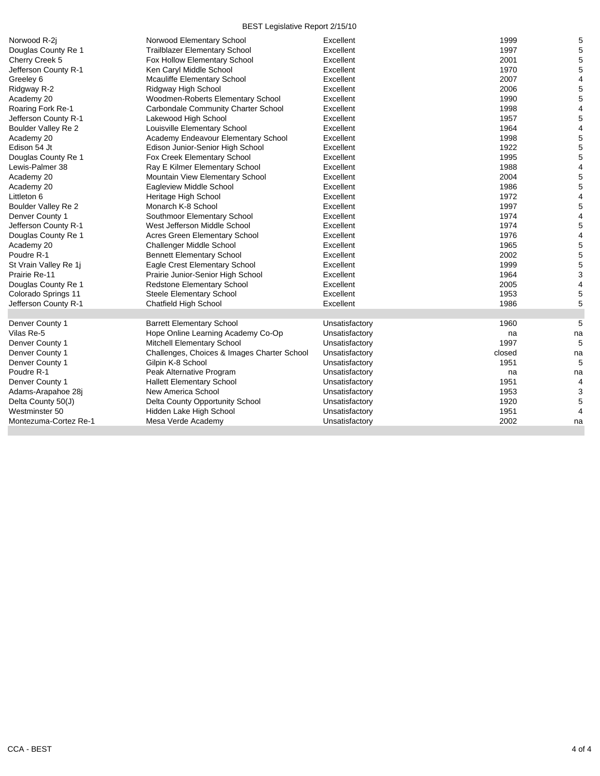| Norwood R-2i          | Norwood Elementary School                   | Excellent      | 1999   | 5  |
|-----------------------|---------------------------------------------|----------------|--------|----|
| Douglas County Re 1   | Trailblazer Elementary School               | Excellent      | 1997   | 5  |
| Cherry Creek 5        | Fox Hollow Elementary School                | Excellent      | 2001   | 5  |
| Jefferson County R-1  | Ken Caryl Middle School                     | Excellent      | 1970   | 5  |
| Greeley 6             | Mcauliffe Elementary School                 | Excellent      | 2007   | 4  |
| Ridgway R-2           | Ridgway High School                         | Excellent      | 2006   | 5  |
| Academy 20            | Woodmen-Roberts Elementary School           | Excellent      | 1990   | 5  |
| Roaring Fork Re-1     | Carbondale Community Charter School         | Excellent      | 1998   | 4  |
| Jefferson County R-1  | Lakewood High School                        | Excellent      | 1957   | 5  |
| Boulder Valley Re 2   | Louisville Elementary School                | Excellent      | 1964   | 4  |
| Academy 20            | Academy Endeavour Elementary School         | Excellent      | 1998   | 5  |
| Edison 54 Jt          | Edison Junior-Senior High School            | Excellent      | 1922   | 5  |
| Douglas County Re 1   | Fox Creek Elementary School                 | Excellent      | 1995   | 5  |
| Lewis-Palmer 38       | Ray E Kilmer Elementary School              | Excellent      | 1988   | 4  |
| Academy 20            | Mountain View Elementary School             | Excellent      | 2004   | 5  |
| Academy 20            | Eagleview Middle School                     | Excellent      | 1986   | 5  |
| Littleton 6           | Heritage High School                        | Excellent      | 1972   | 4  |
| Boulder Valley Re 2   | Monarch K-8 School                          | Excellent      | 1997   | 5  |
| Denver County 1       | Southmoor Elementary School                 | Excellent      | 1974   | 4  |
| Jefferson County R-1  | West Jefferson Middle School                | Excellent      | 1974   | 5  |
| Douglas County Re 1   | <b>Acres Green Elementary School</b>        | Excellent      | 1976   | 4  |
| Academy 20            | Challenger Middle School                    | Excellent      | 1965   | 5  |
| Poudre R-1            | <b>Bennett Elementary School</b>            | Excellent      | 2002   | 5  |
| St Vrain Valley Re 1j | Eagle Crest Elementary School               | Excellent      | 1999   | 5  |
| Prairie Re-11         | Prairie Junior-Senior High School           | Excellent      | 1964   | 3  |
| Douglas County Re 1   | Redstone Elementary School                  | Excellent      | 2005   | 4  |
| Colorado Springs 11   | Steele Elementary School                    | Excellent      | 1953   | 5  |
| Jefferson County R-1  | <b>Chatfield High School</b>                | Excellent      | 1986   | 5  |
|                       |                                             |                |        |    |
| Denver County 1       | <b>Barrett Elementary School</b>            | Unsatisfactory | 1960   | 5  |
| Vilas Re-5            | Hope Online Learning Academy Co-Op          | Unsatisfactory | na     | na |
| Denver County 1       | Mitchell Elementary School                  | Unsatisfactory | 1997   | 5  |
| Denver County 1       | Challenges, Choices & Images Charter School | Unsatisfactory | closed | na |
| Denver County 1       | Gilpin K-8 School                           | Unsatisfactory | 1951   | 5  |
| Poudre R-1            | Peak Alternative Program                    | Unsatisfactory | na     | na |
| Denver County 1       | <b>Hallett Elementary School</b>            | Unsatisfactory | 1951   | 4  |
| Adams-Arapahoe 28j    | New America School                          | Unsatisfactory | 1953   | 3  |
| Delta County 50(J)    | Delta County Opportunity School             | Unsatisfactory | 1920   | 5  |
| Westminster 50        | Hidden Lake High School                     | Unsatisfactory | 1951   | 4  |
| Montezuma-Cortez Re-1 | Mesa Verde Academy                          | Unsatisfactory | 2002   | na |
|                       |                                             |                |        |    |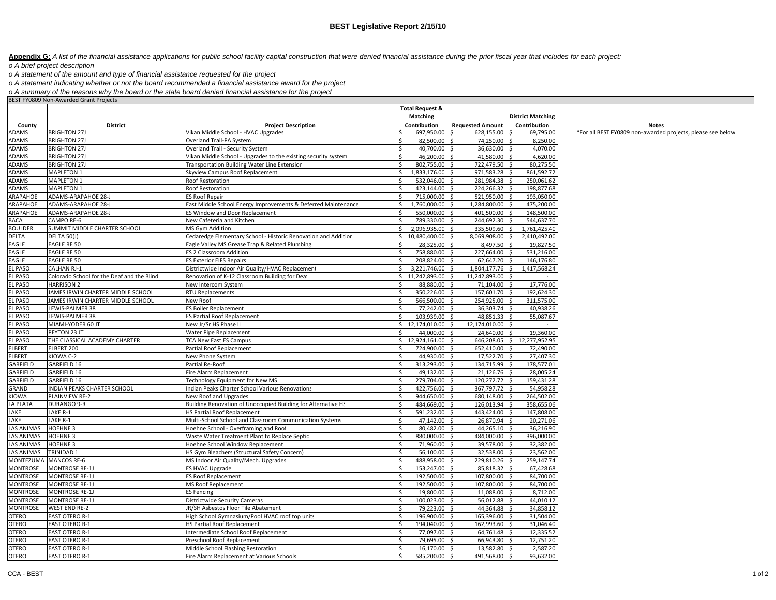Appendix G: A list of the financial assistance applications for public school facility capital construction that were denied financial assistance during the prior fiscal year that includes for each project:

*o A brief project description*

*o A statement of the amount and type of financial assistance requested for the project*

*o A statement indicating whether or not the board recommended a financial assistance award for the project*

*o A summary of the reasons why the board or the state board denied financial assistance for the project*

|                |                                            |                                                                | <b>Total Request &amp;</b> |                         |                            |                                                              |
|----------------|--------------------------------------------|----------------------------------------------------------------|----------------------------|-------------------------|----------------------------|--------------------------------------------------------------|
|                |                                            |                                                                | Matching                   |                         | <b>District Matching</b>   |                                                              |
| County         | <b>District</b>                            | <b>Project Description</b>                                     | Contribution               | <b>Requested Amount</b> | Contribution               | <b>Notes</b>                                                 |
| ADAMS          | <b>BRIGHTON 27J</b>                        | Vikan Middle School - HVAC Upgrades                            | 697,950.00                 | 628,155.00 \$           | 69,795.00                  | *For all BEST FY0809 non-awarded projects, please see below. |
| ADAMS          | <b>BRIGHTON 27J</b>                        | Overland Trail-PA System                                       | 82,500.00                  | 74,250.00 \$            | 8,250.00                   |                                                              |
| ADAMS          | <b>BRIGHTON 27J</b>                        | Overland Trail - Security System                               | 40,700.00<br>Ś.            | 36,630.00 \$            | 4,070.00                   |                                                              |
| ADAMS          | <b>BRIGHTON 27J</b>                        | Vikan Middle School - Upgrades to the existing security system | 46,200.00<br>Ś             | 41,580.00 \$            | 4,620.00                   |                                                              |
| ADAMS          | <b>BRIGHTON 27J</b>                        | Transportation Building Water Line Extension                   | 802,755.00                 | 722,479.50 \$           | 80,275.50                  |                                                              |
| ADAMS          | <b>MAPLETON 1</b>                          | Skyview Campus Roof Replacement                                | 1,833,176.00<br>\$         | 971,583.28 \$<br>Ŝ.     | 861,592.72                 |                                                              |
| ADAMS          | MAPLETON 1                                 | Roof Restoration                                               | 532,046.00                 | 281,984.38 \$           | 250,061.62                 |                                                              |
| ADAMS          | <b>MAPLETON 1</b>                          | Roof Restoration                                               | 423,144.00<br>Ŝ.           | 224,266.32 \$<br>Ŝ      | 198,877.68                 |                                                              |
| ARAPAHOE       | ADAMS-ARAPAHOE 28-J                        | <b>ES Roof Repair</b>                                          | 715,000.00                 | 521,950.00 \$           | 193,050.00                 |                                                              |
| ARAPAHOE       | ADAMS-ARAPAHOE 28-J                        | East Middle School Energy Improvements & Deferred Maintenance  | Ś.<br>1,760,000.00         | 1,284,800.00 \$         | 475,200.00                 |                                                              |
| ARAPAHOE       | ADAMS-ARAPAHOE 28-J                        | ES Window and Door Replacement                                 | 550,000.00                 | 401,500.00              | 148,500.00                 |                                                              |
| <b>BACA</b>    | CAMPO RE-6                                 | New Cafeteria and Kitchen                                      | 789,330.00                 | 244,692.30 \$           | 544,637.70                 |                                                              |
| <b>BOULDER</b> | SUMMIT MIDDLE CHARTER SCHOOL               | MS Gym Addition                                                | 2,096,935.00<br>Ś.         | 335,509.60 \$           | 1,761,425.40               |                                                              |
| DELTA          | DELTA 50(J)                                | Cedaredge Elementary School - Historic Renovation and Addition | \$10,480,400.00            | 8,069,908.00 \$<br>.S   | 2,410,492.00               |                                                              |
| EAGLE          | <b>EAGLE RE 50</b>                         | Eagle Valley MS Grease Trap & Related Plumbing                 | Ŝ.<br>28,325.00            | 8,497.50 \$<br>Ŝ.       | 19,827.50                  |                                                              |
| EAGLE          | EAGLE RE 50                                | ES 2 Classroom Addition                                        | 758,880.00                 | 227,664.00 \$           | 531,216.00                 |                                                              |
| EAGLE          | EAGLE RE 50                                | <b>ES Exterior EIFS Repairs</b>                                | ς.<br>208,824.00           | 62,647.20 \$            | 146,176.80                 |                                                              |
| EL PASO        | CALHAN RJ-1                                | Districtwide Indoor Air Quality/HVAC Replacement               | ς.<br>3,221,746.00         | 1,804,177.76 \$<br>Ŝ.   | 1,417,568.24               |                                                              |
| EL PASO        | Colorado School for the Deaf and the Blind | Renovation of K-12 Classroom Building for Deal                 | \$11,242,893.00            | 11,242,893.00 \$<br>S.  |                            |                                                              |
| EL PASO        | <b>HARRISON 2</b>                          | New Intercom System                                            | 88,880.00<br>$\zeta$       | 71,104.00 \$            | 17,776.00                  |                                                              |
| EL PASO        | JAMES IRWIN CHARTER MIDDLE SCHOOL          | <b>RTU Replacements</b>                                        | Ś.<br>350,226.00           | 157,601.70 \$<br>Š.     | 192,624.30                 |                                                              |
| EL PASO        | JAMES IRWIN CHARTER MIDDLE SCHOOL          | New Roof                                                       | 566,500.00                 | 254,925.00 \$           | 311,575.00                 |                                                              |
| <b>EL PASO</b> | LEWIS-PALMER 38                            | <b>ES Boiler Replacement</b>                                   | $\zeta$<br>77,242.00       | 36,303.74 \$            | 40.938.26                  |                                                              |
| EL PASO        | LEWIS-PALMER 38                            | <b>ES Partial Roof Replacement</b>                             | 103,939.00                 | 48,851.33 \$            | 55,087.67                  |                                                              |
| EL PASO        | MIAMI-YODER 60 JT                          | New Jr/Sr HS Phase II                                          | \$12,174,010.00            | 12,174,010.00 \$<br>S.  |                            |                                                              |
| EL PASO        | PEYTON 23 JT                               | Water Pipe Replacement                                         | 44,000.00                  | 24,640.00 \$            | 19,360.00                  |                                                              |
| EL PASO        | THE CLASSICAL ACADEMY CHARTER              | <b>TCA New East ES Campus</b>                                  | \$12,924,161.00            |                         | 646,208.05 \$12,277,952.95 |                                                              |
| ELBERT         | ELBERT 200                                 | Partial Roof Replacement                                       | 724,900.00                 | Ŝ.<br>652,410.00 \$     | 72.490.00                  |                                                              |
| ELBERT         | KIOWA C-2                                  | New Phone System                                               | Ŝ.<br>44,930.00            | 17,522.70 \$<br>Ŝ.      | 27,407.30                  |                                                              |
| GARFIELD       | GARFIELD 16                                | Partial Re-Roof                                                | 313,293.00<br>Ŝ.           | 134,715.99 \$<br>S.     | 178,577.01                 |                                                              |
| GARFIELD       | GARFIELD 16                                | Fire Alarm Replacement                                         | Ś<br>49,132.00             | 21,126.76 \$<br>Š.      | 28,005.24                  |                                                              |
| GARFIELD       | GARFIELD 16                                | Technology Equipment for New MS                                | 279,704.00                 | 120,272.72 \$           | 159,431.28                 |                                                              |
| GRAND          | INDIAN PEAKS CHARTER SCHOOL                | Indian Peaks Charter School Various Renovations                | 422,756.00                 | 367,797.72 \$           | 54,958.28                  |                                                              |
| KIOWA          | PLAINVIEW RE-2                             | New Roof and Upgrades                                          | 944,650.00                 | 680,148.00 \$           | 264,502.00                 |                                                              |
| LA PLATA       | <b>DURANGO 9-R</b>                         | Building Renovation of Unoccupied Building for Alternative HS  | 484,669.00                 | 126,013.94 \$<br>Ŝ.     | 358,655.06                 |                                                              |
| LAKE           | LAKE R-1                                   | <b>HS Partial Roof Replacement</b>                             | 591,232.00                 | 443,424.00 \$<br>Ŝ.     | 147,808.00                 |                                                              |
| LAKE           | LAKE R-1                                   | Multi-School School and Classroom Communication Systems        | 47,142.00                  | 26,870.94 \$            | 20,271.06                  |                                                              |
| LAS ANIMAS     | <b>HOEHNE 3</b>                            | Hoehne School - Overframing and Roof                           | 80,482.00                  | 44,265.10 \$<br>Ŝ.      | 36,216.90                  |                                                              |
| LAS ANIMAS     | <b>HOEHNE 3</b>                            | Waste Water Treatment Plant to Replace Septic                  | 880,000.00<br>Ŝ.           | 484,000.00 \$           | 396,000.00                 |                                                              |
| LAS ANIMAS     | <b>HOEHNE 3</b>                            | Hoehne School Window Replacement                               | 71,960.00<br>Ŝ.            | 39,578.00 \$            | 32,382.00                  |                                                              |
| LAS ANIMAS     | <b>TRINIDAD 1</b>                          | HS Gym Bleachers (Structural Safety Concern)                   | 56,100.00                  | 32,538.00 \$<br>Ŝ.      | 23,562.00                  |                                                              |
| MONTEZUMA      | <b>MANCOS RE-6</b>                         | MS Indoor Air Quality/Mech. Upgrades                           | 488,958.00                 | 229,810.26 \$           | 259,147.74                 |                                                              |
| MONTROSE       | <b>MONTROSE RE-1J</b>                      | <b>ES HVAC Upgrade</b>                                         | 153,247.00                 | 85,818.32 \$            | 67,428.68                  |                                                              |
| MONTROSE       | <b>MONTROSE RE-1J</b>                      | ES Roof Replacement                                            | 192,500.00                 | 107,800.00 \$           | 84,700.00                  |                                                              |
| MONTROSE       | <b>MONTROSE RE-1J</b>                      | MS Roof Replacement                                            | 192,500.00<br>Ŝ.           | 107,800.00 \$<br>S      | 84,700.00                  |                                                              |
| MONTROSE       | <b>MONTROSE RE-1J</b>                      | <b>ES Fencing</b>                                              | 19,800.00                  | 11,088.00 \$<br>.S      | 8,712.00                   |                                                              |
| MONTROSE       | <b>MONTROSE RE-1J</b>                      | Districtwide Security Cameras                                  | 100,023.00<br>Ŝ.           | 56,012.88 \$            | 44,010.12                  |                                                              |
| MONTROSE       | <b>WEST END RE-2</b>                       | JR/SH Asbestos Floor Tile Abatement                            | Ŝ.<br>79,223.00            | 44,364.88 \$<br>Ŝ.      | 34,858.12                  |                                                              |
| OTERO          | <b>EAST OTERO R-1</b>                      | High School Gymnasium/Pool HVAC roof top units                 | Ŝ.<br>196,900.00           | 165,396.00 \$           | 31,504.00                  |                                                              |
| <b>OTERO</b>   | <b>EAST OTERO R-1</b>                      | <b>HS Partial Roof Replacement</b>                             | 194,040.00<br>$\zeta$      | 162,993.60 \$<br>S.     | 31,046.40                  |                                                              |
| OTERO          | <b>EAST OTERO R-1</b>                      | Intermediate School Roof Replacement                           | 77,097.00                  | 64,761.48 \$<br>S.      | 12,335.52                  |                                                              |
| OTERO          | <b>EAST OTERO R-1</b>                      | Preschool Roof Replacement                                     | 79,695.00                  | 66,943.80 \$            | 12,751.20                  |                                                              |
| OTERO          | <b>EAST OTERO R-1</b>                      | Middle School Flashing Restoration                             | ς.<br>16.170.00 \$         | 13,582.80 \$            | 2,587.20                   |                                                              |
| OTERO          | <b>EAST OTERO R-1</b>                      | Fire Alarm Replacement at Various Schools                      | 585,200.00 \$<br>$\zeta$   | 491,568.00 \$           | 93.632.00                  |                                                              |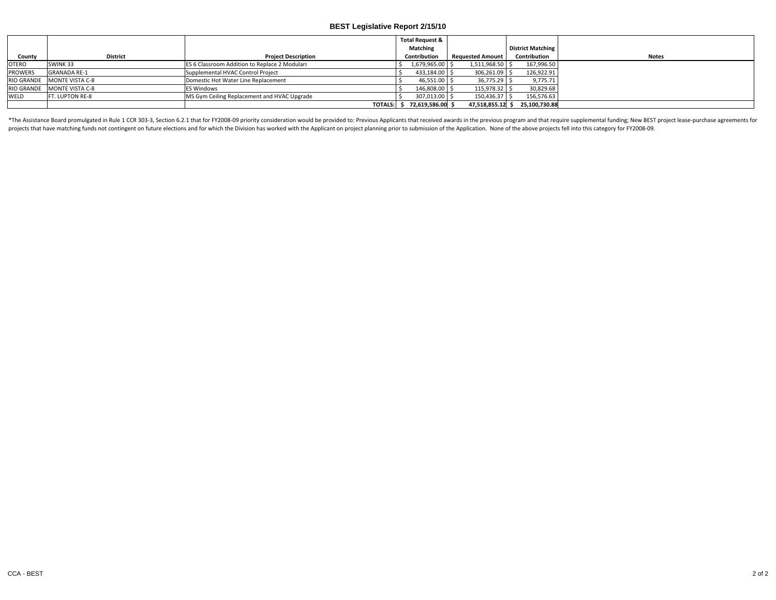|                |                            |                                               | <b>Total Request &amp;</b> |                         |                                |              |
|----------------|----------------------------|-----------------------------------------------|----------------------------|-------------------------|--------------------------------|--------------|
|                |                            |                                               | <b>Matching</b>            |                         | <b>District Matching</b>       |              |
| County         | <b>District</b>            | <b>Project Description</b>                    | Contribution               | <b>Requested Amount</b> | Contribution                   | <b>Notes</b> |
| <b>OTERO</b>   | SWINK 33                   | ES 6 Classroom Addition to Replace 2 Modulars | 1,679,965.00               | 1,511,968.50            | 167,996.50                     |              |
| <b>PROWERS</b> | <b>GRANADA RE-1</b>        | Supplemental HVAC Control Project             | 433,184.00                 | 306,261.09              | 126,922.91                     |              |
|                | RIO GRANDE MONTE VISTA C-8 | Domestic Hot Water Line Replacement           | 46,551.00                  | 36,775.29               | 9,775.71                       |              |
|                | RIO GRANDE MONTE VISTA C-8 | <b>ES Windows</b>                             | 146,808.00                 | 115.978.32              | 30,829.68                      |              |
| <b>WELD</b>    | FT. LUPTON RE-8            | MS Gym Ceiling Replacement and HVAC Upgrade   | 307,013.00                 | 150,436.37              | 156,576.63                     |              |
|                |                            | <b>TOTALS:</b>                                | 72,619,586.00 \$           |                         | 47,518,855.12 \$ 25,100,730.88 |              |

\*The Assistance Board promulgated in Rule 1 CCR 303-3, Section 6.2.1 that for FY2008-09 priority consideration would be provided to: Previous Applicants that received awards in the previous program and that require supplem projects that have matching funds not contingent on future elections and for which the Division has worked with the Applicant on project planning prior to submission of the Application. None of the above projects fell into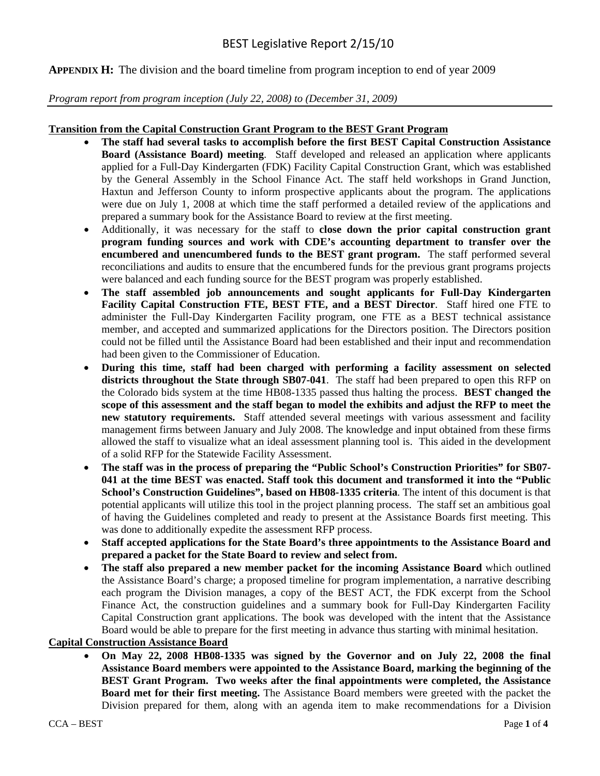#### **APPENDIX H:** The division and the board timeline from program inception to end of year 2009

#### *Program report from program inception (July 22, 2008) to (December 31, 2009)*

#### **Transition from the Capital Construction Grant Program to the BEST Grant Program**

- **The staff had several tasks to accomplish before the first BEST Capital Construction Assistance Board (Assistance Board) meeting**. Staff developed and released an application where applicants applied for a Full-Day Kindergarten (FDK) Facility Capital Construction Grant, which was established by the General Assembly in the School Finance Act. The staff held workshops in Grand Junction, Haxtun and Jefferson County to inform prospective applicants about the program. The applications were due on July 1, 2008 at which time the staff performed a detailed review of the applications and prepared a summary book for the Assistance Board to review at the first meeting.
- Additionally, it was necessary for the staff to **close down the prior capital construction grant program funding sources and work with CDE's accounting department to transfer over the encumbered and unencumbered funds to the BEST grant program.** The staff performed several reconciliations and audits to ensure that the encumbered funds for the previous grant programs projects were balanced and each funding source for the BEST program was properly established.
- **The staff assembled job announcements and sought applicants for Full-Day Kindergarten Facility Capital Construction FTE, BEST FTE, and a BEST Director**. Staff hired one FTE to administer the Full-Day Kindergarten Facility program, one FTE as a BEST technical assistance member, and accepted and summarized applications for the Directors position. The Directors position could not be filled until the Assistance Board had been established and their input and recommendation had been given to the Commissioner of Education.
- **During this time, staff had been charged with performing a facility assessment on selected districts throughout the State through SB07-041**. The staff had been prepared to open this RFP on the Colorado bids system at the time HB08-1335 passed thus halting the process. **BEST changed the scope of this assessment and the staff began to model the exhibits and adjust the RFP to meet the new statutory requirements.** Staff attended several meetings with various assessment and facility management firms between January and July 2008. The knowledge and input obtained from these firms allowed the staff to visualize what an ideal assessment planning tool is. This aided in the development of a solid RFP for the Statewide Facility Assessment.
- **The staff was in the process of preparing the "Public School's Construction Priorities" for SB07- 041 at the time BEST was enacted. Staff took this document and transformed it into the "Public School's Construction Guidelines", based on HB08-1335 criteria**. The intent of this document is that potential applicants will utilize this tool in the project planning process. The staff set an ambitious goal of having the Guidelines completed and ready to present at the Assistance Boards first meeting. This was done to additionally expedite the assessment RFP process.
- **Staff accepted applications for the State Board's three appointments to the Assistance Board and prepared a packet for the State Board to review and select from.**
- **The staff also prepared a new member packet for the incoming Assistance Board** which outlined the Assistance Board's charge; a proposed timeline for program implementation, a narrative describing each program the Division manages, a copy of the BEST ACT, the FDK excerpt from the School Finance Act, the construction guidelines and a summary book for Full-Day Kindergarten Facility Capital Construction grant applications. The book was developed with the intent that the Assistance Board would be able to prepare for the first meeting in advance thus starting with minimal hesitation.

#### **Capital Construction Assistance Board**

 **On May 22, 2008 HB08-1335 was signed by the Governor and on July 22, 2008 the final Assistance Board members were appointed to the Assistance Board, marking the beginning of the BEST Grant Program. Two weeks after the final appointments were completed, the Assistance Board met for their first meeting.** The Assistance Board members were greeted with the packet the Division prepared for them, along with an agenda item to make recommendations for a Division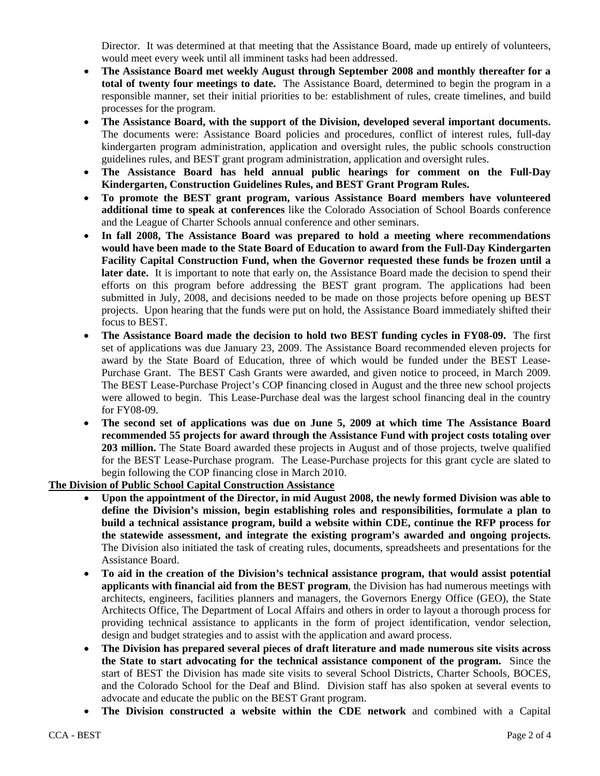Director. It was determined at that meeting that the Assistance Board, made up entirely of volunteers, would meet every week until all imminent tasks had been addressed.

- **The Assistance Board met weekly August through September 2008 and monthly thereafter for a total of twenty four meetings to date.** The Assistance Board, determined to begin the program in a responsible manner, set their initial priorities to be: establishment of rules, create timelines, and build processes for the program.
- **The Assistance Board, with the support of the Division, developed several important documents.** The documents were: Assistance Board policies and procedures, conflict of interest rules, full-day kindergarten program administration, application and oversight rules, the public schools construction guidelines rules, and BEST grant program administration, application and oversight rules.
- **The Assistance Board has held annual public hearings for comment on the Full-Day Kindergarten, Construction Guidelines Rules, and BEST Grant Program Rules.**
- **To promote the BEST grant program, various Assistance Board members have volunteered additional time to speak at conferences** like the Colorado Association of School Boards conference and the League of Charter Schools annual conference and other seminars.
- **In fall 2008, The Assistance Board was prepared to hold a meeting where recommendations would have been made to the State Board of Education to award from the Full-Day Kindergarten Facility Capital Construction Fund, when the Governor requested these funds be frozen until a later date.** It is important to note that early on, the Assistance Board made the decision to spend their efforts on this program before addressing the BEST grant program. The applications had been submitted in July, 2008, and decisions needed to be made on those projects before opening up BEST projects. Upon hearing that the funds were put on hold, the Assistance Board immediately shifted their focus to BEST.
- **The Assistance Board made the decision to hold two BEST funding cycles in FY08-09.** The first set of applications was due January 23, 2009. The Assistance Board recommended eleven projects for award by the State Board of Education, three of which would be funded under the BEST Lease-Purchase Grant. The BEST Cash Grants were awarded, and given notice to proceed, in March 2009. The BEST Lease-Purchase Project's COP financing closed in August and the three new school projects were allowed to begin. This Lease-Purchase deal was the largest school financing deal in the country for FY08-09.
- **The second set of applications was due on June 5, 2009 at which time The Assistance Board recommended 55 projects for award through the Assistance Fund with project costs totaling over 203 million.** The State Board awarded these projects in August and of those projects, twelve qualified for the BEST Lease-Purchase program. The Lease-Purchase projects for this grant cycle are slated to begin following the COP financing close in March 2010.

#### **The Division of Public School Capital Construction Assistance**

- **Upon the appointment of the Director, in mid August 2008, the newly formed Division was able to define the Division's mission, begin establishing roles and responsibilities, formulate a plan to build a technical assistance program, build a website within CDE, continue the RFP process for the statewide assessment, and integrate the existing program's awarded and ongoing projects.** The Division also initiated the task of creating rules, documents, spreadsheets and presentations for the Assistance Board.
- **To aid in the creation of the Division's technical assistance program, that would assist potential applicants with financial aid from the BEST program**, the Division has had numerous meetings with architects, engineers, facilities planners and managers, the Governors Energy Office (GEO), the State Architects Office, The Department of Local Affairs and others in order to layout a thorough process for providing technical assistance to applicants in the form of project identification, vendor selection, design and budget strategies and to assist with the application and award process.
- **The Division has prepared several pieces of draft literature and made numerous site visits across the State to start advocating for the technical assistance component of the program.** Since the start of BEST the Division has made site visits to several School Districts, Charter Schools, BOCES, and the Colorado School for the Deaf and Blind. Division staff has also spoken at several events to advocate and educate the public on the BEST Grant program.
- **The Division constructed a website within the CDE network** and combined with a Capital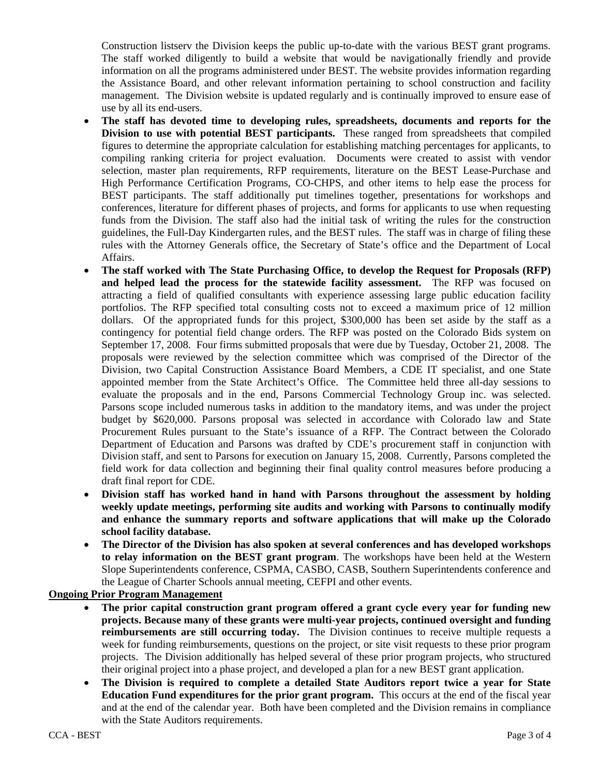Construction listserv the Division keeps the public up-to-date with the various BEST grant programs. The staff worked diligently to build a website that would be navigationally friendly and provide information on all the programs administered under BEST. The website provides information regarding the Assistance Board, and other relevant information pertaining to school construction and facility management. The Division website is updated regularly and is continually improved to ensure ease of use by all its end-users.

- **The staff has devoted time to developing rules, spreadsheets, documents and reports for the Division to use with potential BEST participants.** These ranged from spreadsheets that compiled figures to determine the appropriate calculation for establishing matching percentages for applicants, to compiling ranking criteria for project evaluation. Documents were created to assist with vendor selection, master plan requirements, RFP requirements, literature on the BEST Lease-Purchase and High Performance Certification Programs, CO-CHPS, and other items to help ease the process for BEST participants. The staff additionally put timelines together, presentations for workshops and conferences, literature for different phases of projects, and forms for applicants to use when requesting funds from the Division. The staff also had the initial task of writing the rules for the construction guidelines, the Full-Day Kindergarten rules, and the BEST rules. The staff was in charge of filing these rules with the Attorney Generals office, the Secretary of State's office and the Department of Local Affairs.
- **The staff worked with The State Purchasing Office, to develop the Request for Proposals (RFP) and helped lead the process for the statewide facility assessment.** The RFP was focused on attracting a field of qualified consultants with experience assessing large public education facility portfolios. The RFP specified total consulting costs not to exceed a maximum price of 12 million dollars. Of the appropriated funds for this project, \$300,000 has been set aside by the staff as a contingency for potential field change orders. The RFP was posted on the Colorado Bids system on September 17, 2008. Four firms submitted proposals that were due by Tuesday, October 21, 2008. The proposals were reviewed by the selection committee which was comprised of the Director of the Division, two Capital Construction Assistance Board Members, a CDE IT specialist, and one State appointed member from the State Architect's Office. The Committee held three all-day sessions to evaluate the proposals and in the end, Parsons Commercial Technology Group inc. was selected. Parsons scope included numerous tasks in addition to the mandatory items, and was under the project budget by \$620,000. Parsons proposal was selected in accordance with Colorado law and State Procurement Rules pursuant to the State's issuance of a RFP. The Contract between the Colorado Department of Education and Parsons was drafted by CDE's procurement staff in conjunction with Division staff, and sent to Parsons for execution on January 15, 2008. Currently, Parsons completed the field work for data collection and beginning their final quality control measures before producing a draft final report for CDE.
- **Division staff has worked hand in hand with Parsons throughout the assessment by holding weekly update meetings, performing site audits and working with Parsons to continually modify and enhance the summary reports and software applications that will make up the Colorado school facility database.**
- **The Director of the Division has also spoken at several conferences and has developed workshops to relay information on the BEST grant program**. The workshops have been held at the Western Slope Superintendents conference, CSPMA, CASBO, CASB, Southern Superintendents conference and the League of Charter Schools annual meeting, CEFPI and other events.

#### **Ongoing Prior Program Management**

- **The prior capital construction grant program offered a grant cycle every year for funding new projects. Because many of these grants were multi-year projects, continued oversight and funding reimbursements are still occurring today.** The Division continues to receive multiple requests a week for funding reimbursements, questions on the project, or site visit requests to these prior program projects. The Division additionally has helped several of these prior program projects, who structured their original project into a phase project, and developed a plan for a new BEST grant application.
- **The Division is required to complete a detailed State Auditors report twice a year for State Education Fund expenditures for the prior grant program.** This occurs at the end of the fiscal year and at the end of the calendar year. Both have been completed and the Division remains in compliance with the State Auditors requirements.